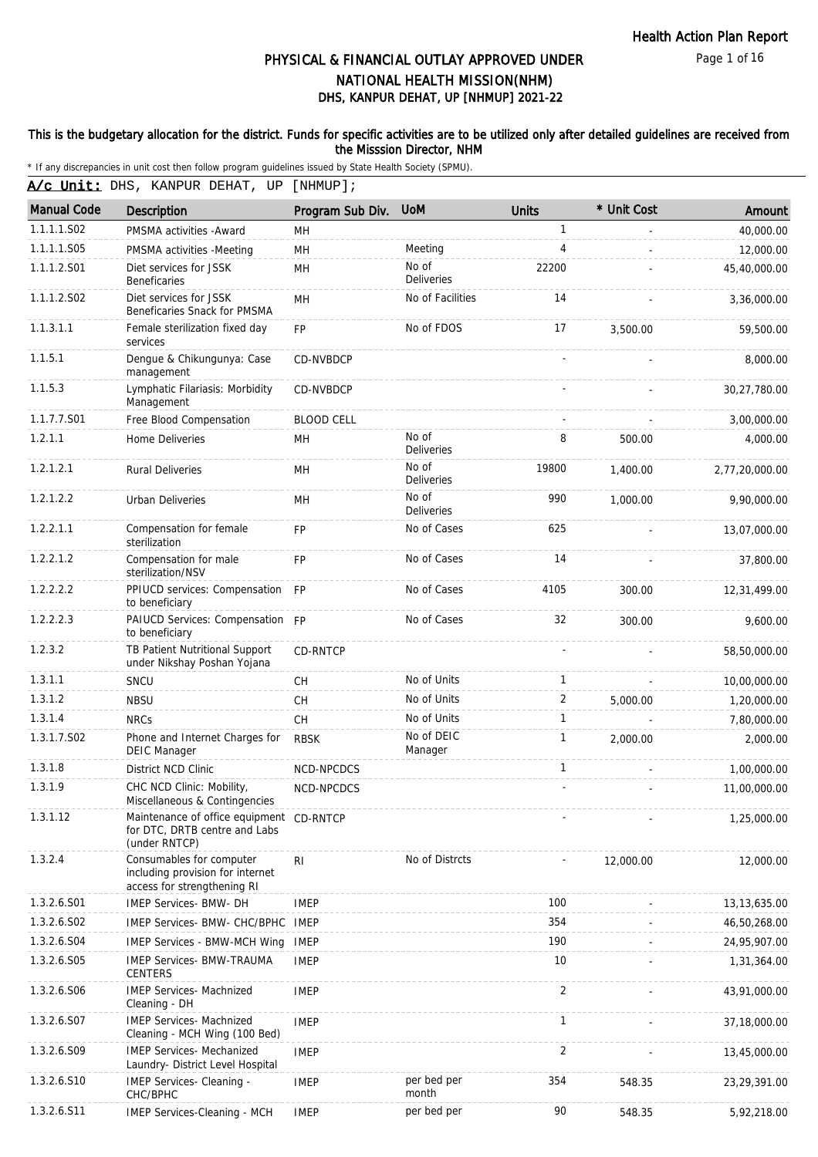Page 1 of 16

# DHS, KANPUR DEHAT, UP [NHMUP] 2021-22 PHYSICAL & FINANCIAL OUTLAY APPROVED UNDER NATIONAL HEALTH MISSION(NHM)

### This is the budgetary allocation for the district. Funds for specific activities are to be utilized only after detailed guidelines are received from the Misssion Director, NHM

| A/c Unit: DHS, KANPUR DEHAT, UP [NHMUP]; |                                                                                             |                   |                            |                          |             |                |  |  |
|------------------------------------------|---------------------------------------------------------------------------------------------|-------------------|----------------------------|--------------------------|-------------|----------------|--|--|
| <b>Manual Code</b>                       | Description                                                                                 | Program Sub Div.  | <b>UoM</b>                 | <b>Units</b>             | * Unit Cost | Amount         |  |  |
| 1.1.1.1.S02                              | PMSMA activities - Award                                                                    | MH                |                            | $\mathbf{1}$             |             | 40,000.00      |  |  |
| 1.1.1.1.S05                              | PMSMA activities -Meeting                                                                   | MH                | Meeting                    | $\overline{4}$           |             | 12,000.00      |  |  |
| 1.1.1.2.S01                              | Diet services for JSSK<br><b>Beneficaries</b>                                               | MН                | No of<br>Deliveries        | 22200                    |             | 45,40,000.00   |  |  |
| 1.1.1.2.S02                              | Diet services for JSSK<br>Beneficaries Snack for PMSMA                                      | MH                | No of Facilities           | 14                       |             | 3,36,000.00    |  |  |
| 1.1.3.1.1                                | Female sterilization fixed day<br>services                                                  | FP                | No of FDOS                 | 17                       | 3,500.00    | 59,500.00      |  |  |
| 1.1.5.1                                  | Dengue & Chikungunya: Case<br>management                                                    | <b>CD-NVBDCP</b>  |                            |                          |             | 8,000.00       |  |  |
| 1.1.5.3                                  | Lymphatic Filariasis: Morbidity<br>Management                                               | CD-NVBDCP         |                            |                          |             | 30,27,780.00   |  |  |
| 1.1.7.7.S01                              | Free Blood Compensation                                                                     | <b>BLOOD CELL</b> |                            | $\overline{\phantom{a}}$ |             | 3,00,000.00    |  |  |
| 1.2.1.1                                  | Home Deliveries                                                                             | MН                | No of<br><b>Deliveries</b> | 8                        | 500.00      | 4,000.00       |  |  |
| 1.2.1.2.1                                | <b>Rural Deliveries</b>                                                                     | MН                | No of<br><b>Deliveries</b> | 19800                    | 1,400.00    | 2,77,20,000.00 |  |  |
| 1.2.1.2.2                                | Urban Deliveries                                                                            | MН                | No of<br>Deliveries        | 990                      | 1,000.00    | 9,90,000.00    |  |  |
| 1.2.2.1.1                                | Compensation for female<br>sterilization                                                    | <b>FP</b>         | No of Cases                | 625                      |             | 13,07,000.00   |  |  |
| 1.2.2.1.2                                | Compensation for male<br>sterilization/NSV                                                  | <b>FP</b>         | No of Cases                | 14                       |             | 37,800.00      |  |  |
| 1.2.2.2.2                                | PPIUCD services: Compensation<br>to beneficiary                                             | <b>FP</b>         | No of Cases                | 4105                     | 300.00      | 12,31,499.00   |  |  |
| 1.2.2.2.3                                | PAIUCD Services: Compensation FP<br>to beneficiary                                          |                   | No of Cases                | 32                       | 300.00      | 9,600.00       |  |  |
| 1.2.3.2                                  | TB Patient Nutritional Support<br>under Nikshay Poshan Yojana                               | CD-RNTCP          |                            |                          |             | 58,50,000.00   |  |  |
| 1.3.1.1                                  | SNCU                                                                                        | <b>CH</b>         | No of Units                | $\mathbf{1}$             |             | 10,00,000.00   |  |  |
| 1.3.1.2                                  | <b>NBSU</b>                                                                                 | <b>CH</b>         | No of Units                | 2                        | 5,000.00    | 1,20,000.00    |  |  |
| 1.3.1.4                                  | <b>NRCs</b>                                                                                 | CH                | No of Units                | $\mathbf{1}$             |             | 7,80,000.00    |  |  |
| 1.3.1.7.S02                              | Phone and Internet Charges for<br><b>DEIC Manager</b>                                       | <b>RBSK</b>       | No of DEIC<br>Manager      | 1                        | 2,000.00    | 2,000.00       |  |  |
| 1.3.1.8                                  | District NCD Clinic                                                                         | NCD-NPCDCS        |                            | $\mathbf{1}$             |             | 1,00,000.00    |  |  |
| 1.3.1.9                                  | CHC NCD Clinic: Mobility,<br>Miscellaneous & Contingencies                                  | NCD-NPCDCS        |                            |                          |             | 11,00,000.00   |  |  |
| 1.3.1.12                                 | Maintenance of office equipment CD-RNTCP<br>for DTC, DRTB centre and Labs<br>(under RNTCP)  |                   |                            |                          |             | 1,25,000.00    |  |  |
| 1.3.2.4                                  | Consumables for computer<br>including provision for internet<br>access for strengthening RI | R <sub>l</sub>    | No of Distrcts             |                          | 12,000.00   | 12,000.00      |  |  |
| 1.3.2.6.S01                              | <b>IMEP Services- BMW- DH</b>                                                               | <b>IMEP</b>       |                            | 100                      |             | 13, 13, 635.00 |  |  |
| 1.3.2.6.S02                              | IMEP Services- BMW- CHC/BPHC IMEP                                                           |                   |                            | 354                      |             | 46,50,268.00   |  |  |
| 1.3.2.6.S04                              | <b>IMEP Services - BMW-MCH Wing</b>                                                         | <b>IMEP</b>       |                            | 190                      |             | 24,95,907.00   |  |  |
| 1.3.2.6.S05                              | <b>IMEP Services- BMW-TRAUMA</b><br><b>CENTERS</b>                                          | <b>IMEP</b>       |                            | 10                       |             | 1,31,364.00    |  |  |
| 1.3.2.6.S06                              | <b>IMEP Services- Machnized</b><br>Cleaning - DH                                            | <b>IMEP</b>       |                            | $\overline{2}$           |             | 43,91,000.00   |  |  |
| 1.3.2.6.S07                              | <b>IMEP Services- Machnized</b><br>Cleaning - MCH Wing (100 Bed)                            | <b>IMEP</b>       |                            | $\mathbf{1}$             |             | 37,18,000.00   |  |  |
| 1.3.2.6.S09                              | <b>IMEP Services- Mechanized</b><br>Laundry- District Level Hospital                        | <b>IMEP</b>       |                            | $\overline{2}$           |             | 13,45,000.00   |  |  |
| 1.3.2.6.S10                              | IMEP Services- Cleaning -<br>CHC/BPHC                                                       | <b>IMEP</b>       | per bed per<br>month       | 354                      | 548.35      | 23,29,391.00   |  |  |
| 1.3.2.6.S11                              | IMEP Services-Cleaning - MCH                                                                | <b>IMEP</b>       | per bed per                | 90                       | 548.35      | 5,92,218.00    |  |  |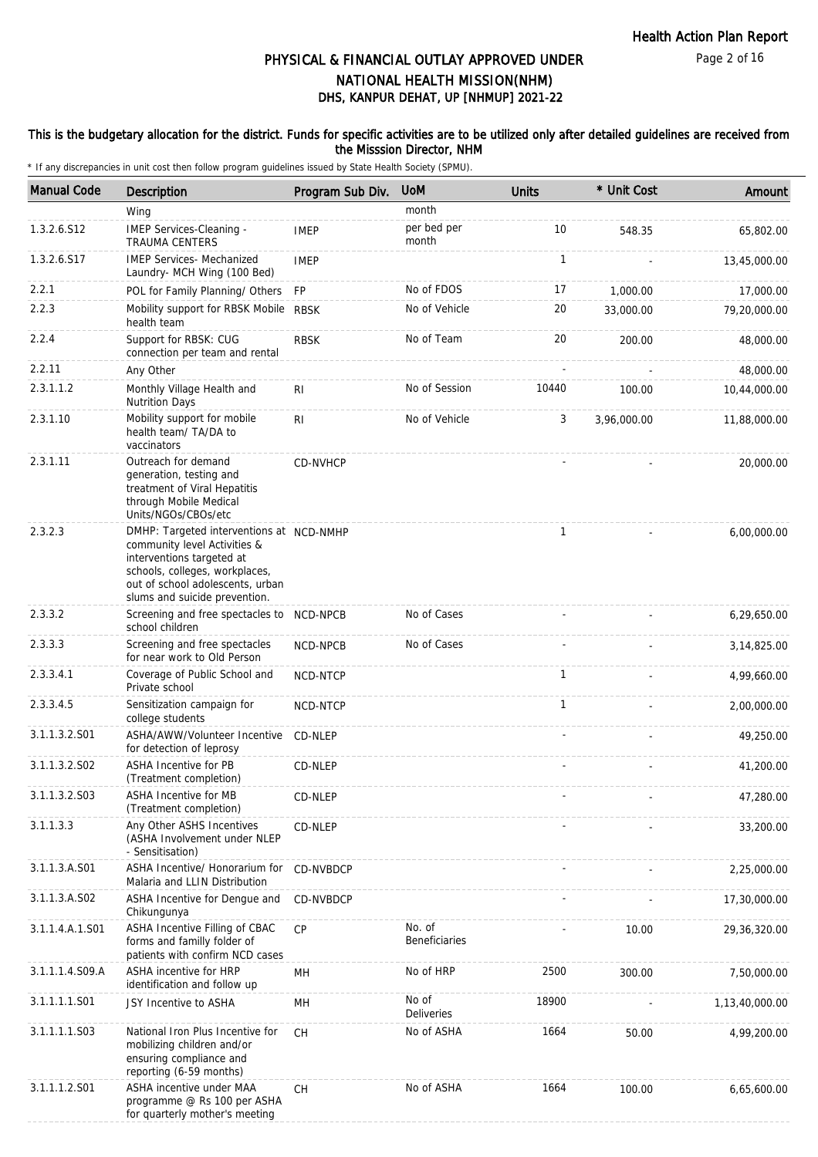Page 2 of 16

# DHS, KANPUR DEHAT, UP [NHMUP] 2021-22 PHYSICAL & FINANCIAL OUTLAY APPROVED UNDER NATIONAL HEALTH MISSION(NHM)

### This is the budgetary allocation for the district. Funds for specific activities are to be utilized only after detailed guidelines are received from the Misssion Director, NHM

| <b>Manual Code</b> | Description                                                                                                                                                                                                  | Program Sub Div. | <b>UoM</b>              | <b>Units</b> | * Unit Cost | Amount         |
|--------------------|--------------------------------------------------------------------------------------------------------------------------------------------------------------------------------------------------------------|------------------|-------------------------|--------------|-------------|----------------|
|                    | Wing                                                                                                                                                                                                         |                  | month                   |              |             |                |
| 1.3.2.6.S12        | IMEP Services-Cleaning -<br><b>TRAUMA CENTERS</b>                                                                                                                                                            | <b>IMEP</b>      | per bed per<br>month    | 10           | 548.35      | 65,802.00      |
| 1.3.2.6.S17        | <b>IMEP Services- Mechanized</b><br>Laundry- MCH Wing (100 Bed)                                                                                                                                              | <b>IMEP</b>      |                         | 1            |             | 13,45,000.00   |
| 2.2.1              | POL for Family Planning/ Others                                                                                                                                                                              | FP               | No of FDOS              | 17           | 1,000.00    | 17,000.00      |
| 2.2.3              | Mobility support for RBSK Mobile<br>health team                                                                                                                                                              | <b>RBSK</b>      | No of Vehicle           | 20           | 33,000.00   | 79,20,000.00   |
| 2.2.4              | Support for RBSK: CUG<br>connection per team and rental                                                                                                                                                      | <b>RBSK</b>      | No of Team              | 20           | 200.00      | 48,000.00      |
| 2.2.11             | Any Other                                                                                                                                                                                                    |                  |                         |              |             | 48,000.00      |
| 2.3.1.1.2          | Monthly Village Health and<br><b>Nutrition Days</b>                                                                                                                                                          | RI.              | No of Session           | 10440        | 100.00      | 10,44,000.00   |
| 2.3.1.10           | Mobility support for mobile<br>health team/ TA/DA to<br>vaccinators                                                                                                                                          | RI               | No of Vehicle           | 3            | 3,96,000.00 | 11,88,000.00   |
| 2.3.1.11           | Outreach for demand<br>generation, testing and<br>treatment of Viral Hepatitis<br>through Mobile Medical<br>Units/NGOs/CBOs/etc                                                                              | CD-NVHCP         |                         |              |             | 20,000.00      |
| 2.3.2.3            | DMHP: Targeted interventions at NCD-NMHP<br>community level Activities &<br>interventions targeted at<br>schools, colleges, workplaces,<br>out of school adolescents, urban<br>slums and suicide prevention. |                  |                         | $\mathbf{1}$ |             | 6,00,000.00    |
| 2.3.3.2            | Screening and free spectacles to<br>school children                                                                                                                                                          | NCD-NPCB         | No of Cases             |              |             | 6,29,650.00    |
| 2.3.3.3            | Screening and free spectacles<br>for near work to Old Person                                                                                                                                                 | NCD-NPCB         | No of Cases             |              |             | 3, 14, 825.00  |
| 2.3.3.4.1          | Coverage of Public School and<br>Private school                                                                                                                                                              | NCD-NTCP         |                         | $\mathbf{1}$ |             | 4,99,660.00    |
| 2.3.3.4.5          | Sensitization campaign for<br>college students                                                                                                                                                               | NCD-NTCP         |                         | $\mathbf{1}$ |             | 2,00,000.00    |
| 3.1.1.3.2.501      | ASHA/AWW/Volunteer Incentive<br>for detection of leprosy                                                                                                                                                     | CD-NLEP          |                         |              |             | 49,250.00      |
| 3.1.1.3.2.S02      | <b>ASHA Incentive for PB</b><br>(Treatment completion)                                                                                                                                                       | CD-NLEP          |                         |              |             | 41,200.00      |
| 3.1.1.3.2.S03      | <b>ASHA Incentive for MB</b><br>(Treatment completion)                                                                                                                                                       | CD-NLEP          |                         |              |             | 47,280.00      |
| 3.1.1.3.3          | Any Other ASHS Incentives<br>(ASHA Involvement under NLEP<br>- Sensitisation)                                                                                                                                | CD-NLEP          |                         |              |             | 33,200.00      |
| 3.1.1.3.A.S01      | ASHA Incentive/ Honorarium for<br>Malaria and LLIN Distribution                                                                                                                                              | CD-NVBDCP        |                         |              |             | 2,25,000.00    |
| 3.1.1.3.A.S02      | ASHA Incentive for Dengue and<br>Chikungunya                                                                                                                                                                 | CD-NVBDCP        |                         |              |             | 17,30,000.00   |
| 3.1.1.4.A.1.S01    | ASHA Incentive Filling of CBAC<br>forms and familly folder of<br>patients with confirm NCD cases                                                                                                             | <b>CP</b>        | No. of<br>Beneficiaries |              | 10.00       | 29, 36, 320.00 |
| 3.1.1.1.4.S09.A    | ASHA incentive for HRP<br>identification and follow up                                                                                                                                                       | MН               | No of HRP               | 2500         | 300.00      | 7,50,000.00    |
| 3.1.1.1.1.S01      | JSY Incentive to ASHA                                                                                                                                                                                        | MH               | No of<br>Deliveries     | 18900        |             | 1,13,40,000.00 |
| 3.1.1.1.1.S03      | National Iron Plus Incentive for<br>mobilizing children and/or<br>ensuring compliance and<br>reporting (6-59 months)                                                                                         | <b>CH</b>        | No of ASHA              | 1664         | 50.00       | 4,99,200.00    |
| 3.1.1.1.2.S01      | ASHA incentive under MAA<br>programme @ Rs 100 per ASHA<br>for quarterly mother's meeting                                                                                                                    | <b>CH</b>        | No of ASHA              | 1664         | 100.00      | 6,65,600.00    |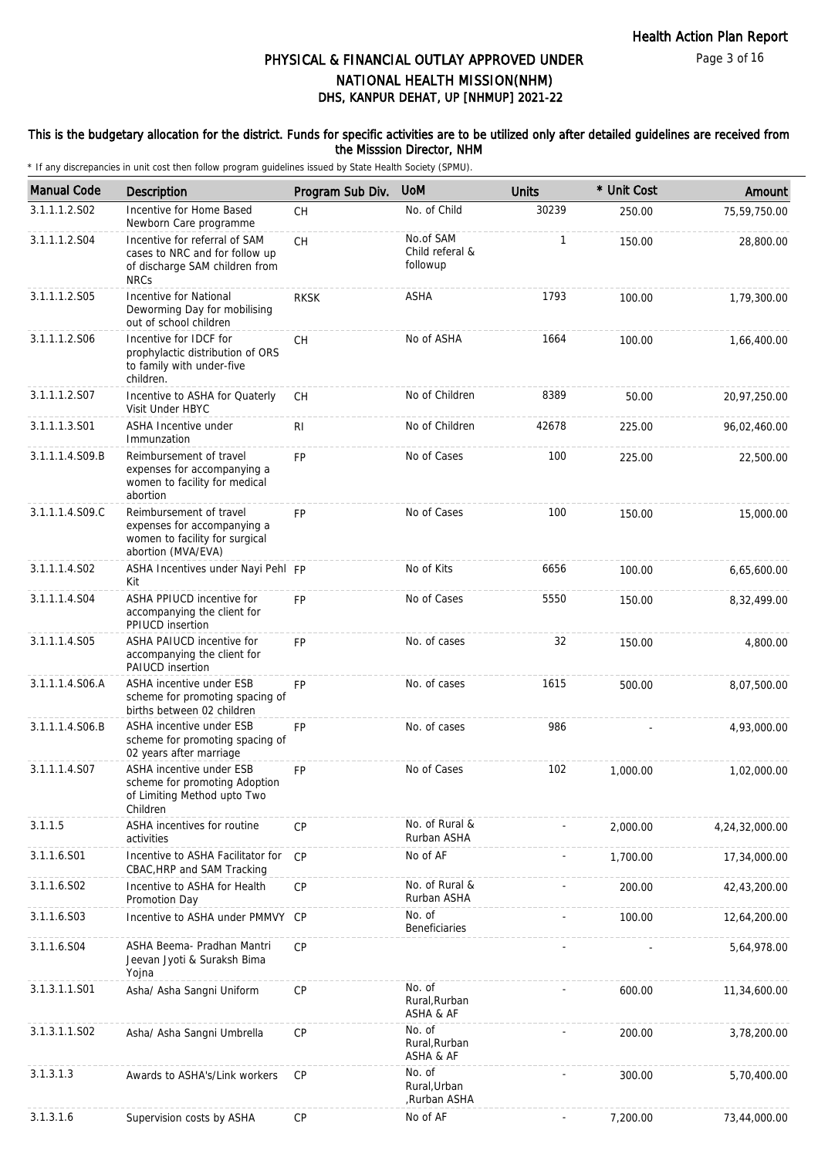### This is the budgetary allocation for the district. Funds for specific activities are to be utilized only after detailed guidelines are received from the Misssion Director, NHM

| <b>Manual Code</b> | Description                                                                                                      | Program Sub Div. | <b>UoM</b>                               | <b>Units</b> | * Unit Cost | Amount         |
|--------------------|------------------------------------------------------------------------------------------------------------------|------------------|------------------------------------------|--------------|-------------|----------------|
| 3.1.1.1.2.S02      | Incentive for Home Based<br>Newborn Care programme                                                               | CH               | No. of Child                             | 30239        | 250.00      | 75,59,750.00   |
| 3.1.1.1.2.S04      | Incentive for referral of SAM<br>cases to NRC and for follow up<br>of discharge SAM children from<br><b>NRCs</b> | <b>CH</b>        | No.of SAM<br>Child referal &<br>followup | 1            | 150.00      | 28,800.00      |
| 3.1.1.1.2.S05      | <b>Incentive for National</b><br>Deworming Day for mobilising<br>out of school children                          | <b>RKSK</b>      | <b>ASHA</b>                              | 1793         | 100.00      | 1,79,300.00    |
| 3.1.1.1.2.S06      | Incentive for IDCF for<br>prophylactic distribution of ORS<br>to family with under-five<br>children.             | CH               | No of ASHA                               | 1664         | 100.00      | 1,66,400.00    |
| 3.1.1.1.2.S07      | Incentive to ASHA for Quaterly<br>Visit Under HBYC                                                               | CH               | No of Children                           | 8389         | 50.00       | 20,97,250.00   |
| 3.1.1.1.3.S01      | ASHA Incentive under<br>Immunzation                                                                              | R <sub>1</sub>   | No of Children                           | 42678        | 225.00      | 96,02,460.00   |
| 3.1.1.1.4.S09.B    | Reimbursement of travel<br>expenses for accompanying a<br>women to facility for medical<br>abortion              | <b>FP</b>        | No of Cases                              | 100          | 225.00      | 22,500.00      |
| 3.1.1.1.4.S09.C    | Reimbursement of travel<br>expenses for accompanying a<br>women to facility for surgical<br>abortion (MVA/EVA)   | <b>FP</b>        | No of Cases                              | 100          | 150.00      | 15,000.00      |
| 3.1.1.1.4.S02      | ASHA Incentives under Nayi Pehl FP<br>Kit                                                                        |                  | No of Kits                               | 6656         | 100.00      | 6,65,600.00    |
| 3.1.1.1.4.S04      | ASHA PPIUCD incentive for<br>accompanying the client for<br>PPIUCD insertion                                     | <b>FP</b>        | No of Cases                              | 5550         | 150.00      | 8,32,499.00    |
| 3.1.1.1.4.S05      | ASHA PAIUCD incentive for<br>accompanying the client for<br>PAIUCD insertion                                     | <b>FP</b>        | No. of cases                             | 32           | 150.00      | 4,800.00       |
| 3.1.1.1.4.S06.A    | ASHA incentive under ESB<br>scheme for promoting spacing of<br>births between 02 children                        | <b>FP</b>        | No. of cases                             | 1615         | 500.00      | 8,07,500.00    |
| 3.1.1.1.4.S06.B    | ASHA incentive under ESB<br>scheme for promoting spacing of<br>02 years after marriage                           | <b>FP</b>        | No. of cases                             | 986          |             | 4,93,000.00    |
| 3.1.1.1.4.S07      | ASHA incentive under ESB<br>scheme for promoting Adoption<br>of Limiting Method upto Two<br>Children             | <b>FP</b>        | No of Cases                              | 102          | 1,000.00    | 1,02,000.00    |
| 3.1.1.5            | ASHA incentives for routine<br>activities                                                                        | <b>CP</b>        | No. of Rural &<br>Rurban ASHA            |              | 2,000.00    | 4,24,32,000.00 |
| 3.1.1.6.S01        | Incentive to ASHA Facilitator for<br>CBAC, HRP and SAM Tracking                                                  | CP               | No of AF                                 |              | 1,700.00    | 17,34,000.00   |
| 3.1.1.6.S02        | Incentive to ASHA for Health<br>Promotion Day                                                                    | CP               | No. of Rural &<br>Rurban ASHA            |              | 200.00      | 42,43,200.00   |
| 3.1.1.6.S03        | Incentive to ASHA under PMMVY CP                                                                                 |                  | No. of<br><b>Beneficiaries</b>           |              | 100.00      | 12,64,200.00   |
| 3.1.1.6.S04        | ASHA Beema- Pradhan Mantri<br>Jeevan Jyoti & Suraksh Bima<br>Yojna                                               | CP               |                                          |              |             | 5,64,978.00    |
| 3.1.3.1.1.S01      | Asha/ Asha Sangni Uniform                                                                                        | CP               | No. of<br>Rural, Rurban<br>ASHA & AF     |              | 600.00      | 11,34,600.00   |
| 3.1.3.1.1.S02      | Asha/ Asha Sangni Umbrella                                                                                       | <b>CP</b>        | No. of<br>Rural, Rurban<br>ASHA & AF     |              | 200.00      | 3,78,200.00    |
| 3.1.3.1.3          | Awards to ASHA's/Link workers                                                                                    | <b>CP</b>        | No. of<br>Rural, Urban<br>Rurban ASHA,   |              | 300.00      | 5,70,400.00    |
| 3.1.3.1.6          | Supervision costs by ASHA                                                                                        | CP               | No of AF                                 |              | 7,200.00    | 73,44,000.00   |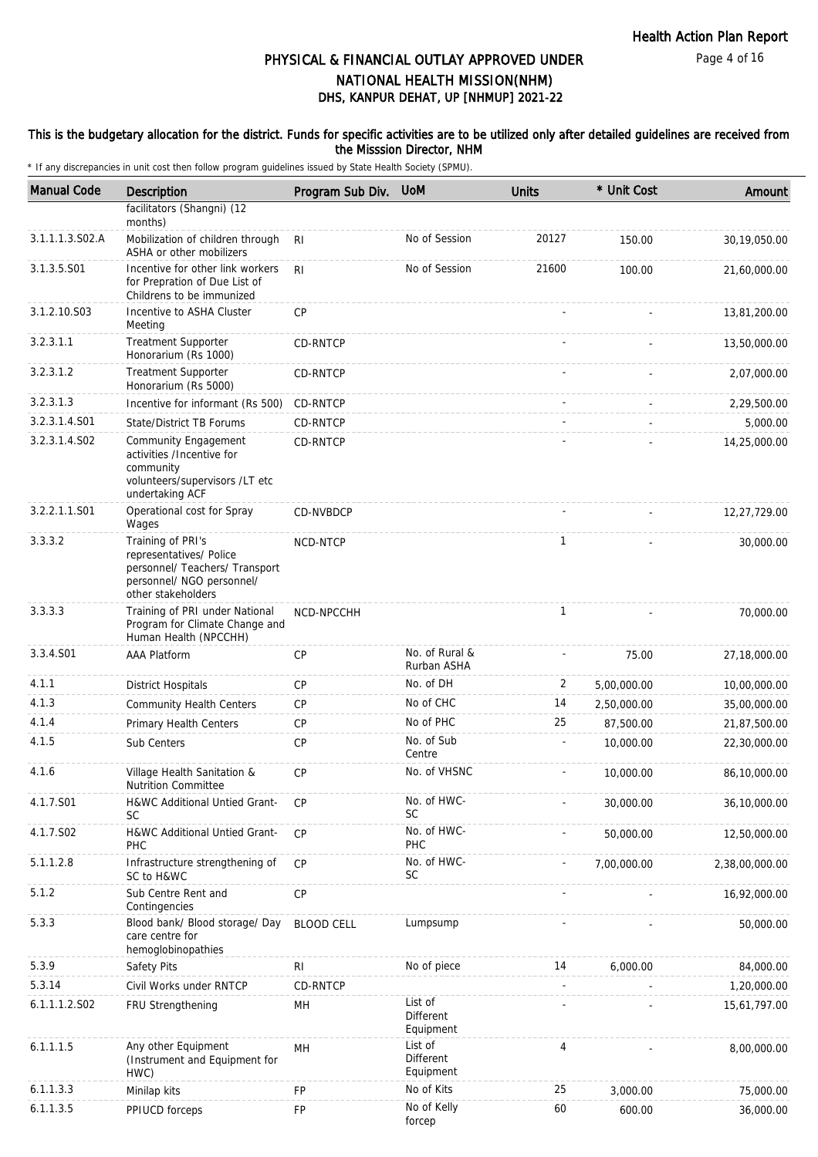#### This is the budgetary allocation for the district. Funds for specific activities are to be utilized only after detailed guidelines are received from the Misssion Director, NHM

| <b>Manual Code</b> | Description                                                                                                                       | Program Sub Div. UoM |                                   | <b>Units</b>   | * Unit Cost | Amount         |
|--------------------|-----------------------------------------------------------------------------------------------------------------------------------|----------------------|-----------------------------------|----------------|-------------|----------------|
|                    | facilitators (Shangni) (12<br>months)                                                                                             |                      |                                   |                |             |                |
| 3.1.1.1.3.S02.A    | Mobilization of children through<br>ASHA or other mobilizers                                                                      | <b>RI</b>            | No of Session                     | 20127          | 150.00      | 30,19,050.00   |
| 3.1.3.5.S01        | Incentive for other link workers<br>for Prepration of Due List of<br>Childrens to be immunized                                    | R <sub>l</sub>       | No of Session                     | 21600          | 100.00      | 21,60,000.00   |
| 3.1.2.10.S03       | Incentive to ASHA Cluster<br>Meeting                                                                                              | <b>CP</b>            |                                   |                |             | 13,81,200.00   |
| 3.2.3.1.1          | <b>Treatment Supporter</b><br>Honorarium (Rs 1000)                                                                                | CD-RNTCP             |                                   |                |             | 13,50,000.00   |
| 3.2.3.1.2          | <b>Treatment Supporter</b><br>Honorarium (Rs 5000)                                                                                | CD-RNTCP             |                                   |                |             | 2,07,000.00    |
| 3.2.3.1.3          | Incentive for informant (Rs 500)                                                                                                  | CD-RNTCP             |                                   |                |             | 2,29,500.00    |
| 3.2.3.1.4.S01      | <b>State/District TB Forums</b>                                                                                                   | CD-RNTCP             |                                   |                |             | 5,000.00       |
| 3.2.3.1.4.S02      | Community Engagement<br>activities /Incentive for<br>community<br>volunteers/supervisors /LT etc<br>undertaking ACF               | CD-RNTCP             |                                   |                |             | 14,25,000.00   |
| 3.2.2.1.1.S01      | Operational cost for Spray<br>Wages                                                                                               | CD-NVBDCP            |                                   |                |             | 12,27,729.00   |
| 3.3.3.2            | Training of PRI's<br>representatives/ Police<br>personnel/ Teachers/ Transport<br>personnel/ NGO personnel/<br>other stakeholders | NCD-NTCP             |                                   | $\mathbf{1}$   |             | 30,000.00      |
| 3.3.3.3            | Training of PRI under National<br>Program for Climate Change and<br>Human Health (NPCCHH)                                         | NCD-NPCCHH           |                                   | $\mathbf{1}$   |             | 70,000.00      |
| 3.3.4.S01          | <b>AAA Platform</b>                                                                                                               | <b>CP</b>            | No. of Rural &<br>Rurban ASHA     |                | 75.00       | 27,18,000.00   |
| 4.1.1              | <b>District Hospitals</b>                                                                                                         | <b>CP</b>            | No. of DH                         | $\overline{2}$ | 5,00,000.00 | 10,00,000.00   |
| 4.1.3              | <b>Community Health Centers</b>                                                                                                   | <b>CP</b>            | No of CHC                         | 14             | 2,50,000.00 | 35,00,000.00   |
| 4.1.4              | Primary Health Centers                                                                                                            | СP                   | No of PHC                         | 25             | 87,500.00   | 21,87,500.00   |
| 4.1.5              | Sub Centers                                                                                                                       | CP                   | No. of Sub<br>Centre              | ÷.             | 10,000.00   | 22,30,000.00   |
| 4.1.6              | Village Health Sanitation &<br><b>Nutrition Committee</b>                                                                         | <b>CP</b>            | No. of VHSNC                      |                | 10,000.00   | 86,10,000.00   |
| 4.1.7.S01          | H&WC Additional Untied Grant-<br>SC                                                                                               | <b>CP</b>            | No. of HWC-<br>SC.                |                | 30,000.00   | 36,10,000.00   |
| 4.1.7.S02          | H&WC Additional Untied Grant-<br>PHC                                                                                              | CP                   | No. of HWC-<br>PHC                |                | 50,000.00   | 12,50,000.00   |
| 5.1.1.2.8          | Infrastructure strengthening of<br>SC to H&WC                                                                                     | <b>CP</b>            | No. of HWC-<br><b>SC</b>          |                | 7,00,000.00 | 2,38,00,000.00 |
| 5.1.2              | Sub Centre Rent and<br>Contingencies                                                                                              | CP                   |                                   |                |             | 16,92,000.00   |
| 5.3.3              | Blood bank/ Blood storage/ Day<br>care centre for<br>hemoglobinopathies                                                           | <b>BLOOD CELL</b>    | Lumpsump                          |                |             | 50,000.00      |
| 5.3.9              | Safety Pits                                                                                                                       | RI                   | No of piece                       | 14             | 6,000.00    | 84,000.00      |
| 5.3.14             | Civil Works under RNTCP                                                                                                           | CD-RNTCP             |                                   |                |             | 1,20,000.00    |
| 6.1.1.1.2.502      | FRU Strengthening                                                                                                                 | MH                   | List of<br>Different<br>Equipment |                |             | 15,61,797.00   |
| 6.1.1.1.5          | Any other Equipment<br>(Instrument and Equipment for<br>HWC)                                                                      | MH                   | List of<br>Different<br>Equipment | 4              |             | 8,00,000.00    |
| 6.1.1.3.3          | Minilap kits                                                                                                                      | FP                   | No of Kits                        | 25             | 3,000.00    | 75,000.00      |
| 6.1.1.3.5          | PPIUCD forceps                                                                                                                    | FP                   | No of Kelly<br>forcep             | 60             | 600.00      | 36,000.00      |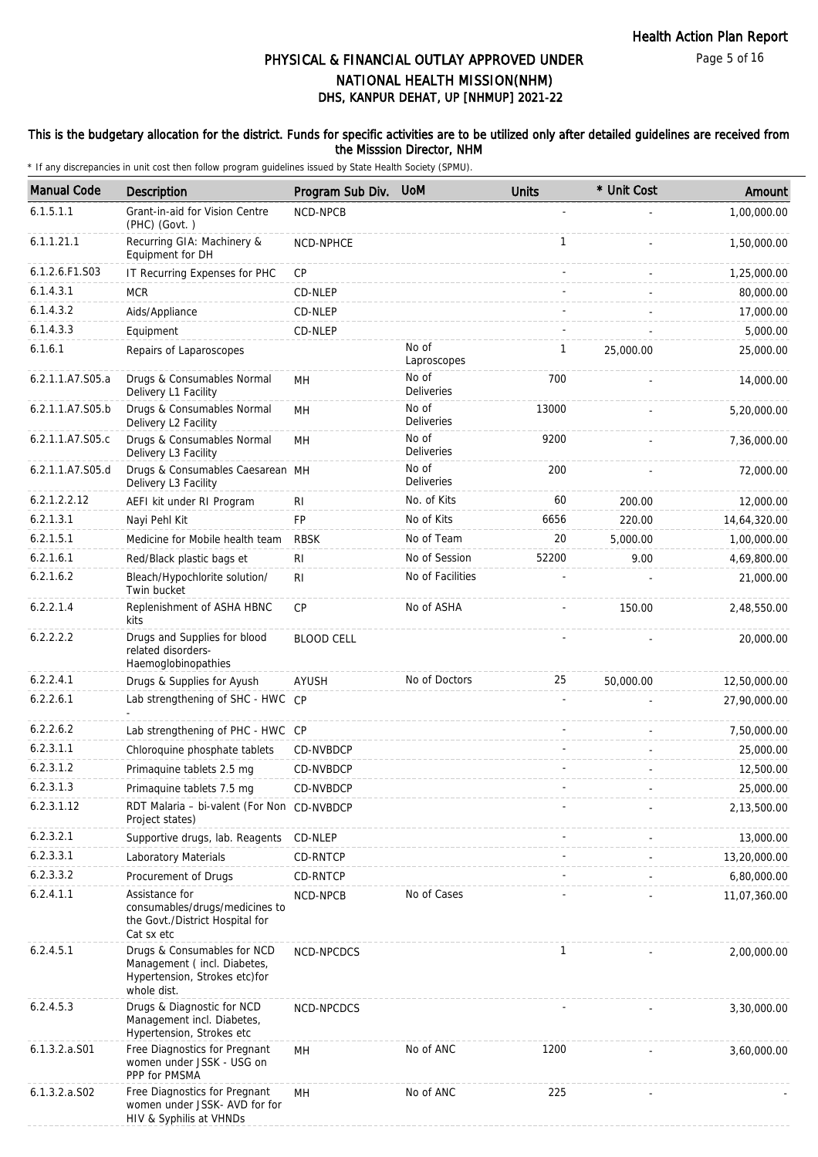Page 5 of 16

# DHS, KANPUR DEHAT, UP [NHMUP] 2021-22 PHYSICAL & FINANCIAL OUTLAY APPROVED UNDER NATIONAL HEALTH MISSION(NHM)

### This is the budgetary allocation for the district. Funds for specific activities are to be utilized only after detailed guidelines are received from the Misssion Director, NHM

| <b>Manual Code</b> | <b>Description</b>                                                                                         | Program Sub Div.  | <b>UoM</b>                 | <b>Units</b> | * Unit Cost | Amount       |
|--------------------|------------------------------------------------------------------------------------------------------------|-------------------|----------------------------|--------------|-------------|--------------|
| 6.1.5.1.1          | Grant-in-aid for Vision Centre<br>(PHC) (Govt.)                                                            | NCD-NPCB          |                            |              |             | 1,00,000.00  |
| 6.1.1.21.1         | Recurring GIA: Machinery &<br>Equipment for DH                                                             | NCD-NPHCE         |                            | $\mathbf{1}$ |             | 1,50,000.00  |
| 6.1.2.6.F1.S03     | IT Recurring Expenses for PHC                                                                              | CP                |                            |              |             | 1,25,000.00  |
| 6.1.4.3.1          | <b>MCR</b>                                                                                                 | CD-NLEP           |                            |              |             | 80,000.00    |
| 6.1.4.3.2          | Aids/Appliance                                                                                             | CD-NLEP           |                            |              |             | 17,000.00    |
| 6.1.4.3.3          | Equipment                                                                                                  | CD-NLEP           |                            |              |             | 5,000.00     |
| 6.1.6.1            | Repairs of Laparoscopes                                                                                    |                   | No of<br>Laproscopes       | 1            | 25,000.00   | 25,000.00    |
| 6.2.1.1.A7.S05.a   | Drugs & Consumables Normal<br>Delivery L1 Facility                                                         | MН                | No of<br><b>Deliveries</b> | 700          |             | 14,000.00    |
| 6.2.1.1.A7.S05.b   | Drugs & Consumables Normal<br>Delivery L2 Facility                                                         | MН                | No of<br><b>Deliveries</b> | 13000        |             | 5,20,000.00  |
| 6.2.1.1.A7.S05.c   | Drugs & Consumables Normal<br>Delivery L3 Facility                                                         | MH                | No of<br><b>Deliveries</b> | 9200         |             | 7,36,000.00  |
| 6.2.1.1.A7.S05.d   | Drugs & Consumables Caesarean MH<br>Delivery L3 Facility                                                   |                   | No of<br><b>Deliveries</b> | 200          |             | 72,000.00    |
| 6.2.1.2.2.12       | AEFI kit under RI Program                                                                                  | <b>RI</b>         | No. of Kits                | 60           | 200.00      | 12,000.00    |
| 6.2.1.3.1          | Nayi Pehl Kit                                                                                              | <b>FP</b>         | No of Kits                 | 6656         | 220.00      | 14,64,320.00 |
| 6.2.1.5.1          | Medicine for Mobile health team                                                                            | <b>RBSK</b>       | No of Team                 | 20           | 5,000.00    | 1,00,000.00  |
| 6.2.1.6.1          | Red/Black plastic bags et                                                                                  | <b>RI</b>         | No of Session              | 52200        | 9.00        | 4,69,800.00  |
| 6.2.1.6.2          | Bleach/Hypochlorite solution/<br>Twin bucket                                                               | R <sub>1</sub>    | No of Facilities           |              |             | 21,000.00    |
| 6.2.2.1.4          | Replenishment of ASHA HBNC<br>kits                                                                         | <b>CP</b>         | No of ASHA                 |              | 150.00      | 2,48,550.00  |
| 6.2.2.2.2          | Drugs and Supplies for blood<br>related disorders-<br>Haemoglobinopathies                                  | <b>BLOOD CELL</b> |                            |              |             | 20,000.00    |
| 6.2.2.4.1          | Drugs & Supplies for Ayush                                                                                 | <b>AYUSH</b>      | No of Doctors              | 25           | 50,000.00   | 12,50,000.00 |
| 6.2.2.6.1          | Lab strengthening of SHC - HWC CP                                                                          |                   |                            |              |             | 27,90,000.00 |
| 6.2.2.6.2          | Lab strengthening of PHC - HWC CP                                                                          |                   |                            |              |             | 7,50,000.00  |
| 6.2.3.1.1          | Chloroquine phosphate tablets                                                                              | CD-NVBDCP         |                            |              |             | 25,000.00    |
| 6.2.3.1.2          | Primaguine tablets 2.5 mg                                                                                  | CD-NVBDCP         |                            |              |             | 12,500.00    |
| 6.2.3.1.3          | Primaquine tablets 7.5 mg                                                                                  | CD-NVBDCP         |                            |              |             | 25,000.00    |
| 6.2.3.1.12         | RDT Malaria - bi-valent (For Non CD-NVBDCP<br>Project states)                                              |                   |                            |              |             | 2,13,500.00  |
| 6.2.3.2.1          | Supportive drugs, lab. Reagents                                                                            | CD-NLEP           |                            |              |             | 13,000.00    |
| 6.2.3.3.1          | Laboratory Materials                                                                                       | CD-RNTCP          |                            |              |             | 13,20,000.00 |
| 6.2.3.3.2          | Procurement of Drugs                                                                                       | CD-RNTCP          |                            |              |             | 6,80,000.00  |
| 6.2.4.1.1          | Assistance for<br>consumables/drugs/medicines to<br>the Govt./District Hospital for<br>Cat sx etc          | NCD-NPCB          | No of Cases                |              |             | 11,07,360.00 |
| 6.2.4.5.1          | Drugs & Consumables for NCD<br>Management (incl. Diabetes,<br>Hypertension, Strokes etc)for<br>whole dist. | NCD-NPCDCS        |                            | $\mathbf{1}$ |             | 2,00,000.00  |
| 6.2.4.5.3          | Drugs & Diagnostic for NCD<br>Management incl. Diabetes,<br>Hypertension, Strokes etc                      | NCD-NPCDCS        |                            |              |             | 3,30,000.00  |
| 6.1.3.2.a.S01      | Free Diagnostics for Pregnant<br>women under JSSK - USG on<br>PPP for PMSMA                                | MН                | No of ANC                  | 1200         |             | 3,60,000.00  |
| 6.1.3.2.a.S02      | Free Diagnostics for Pregnant<br>women under JSSK- AVD for for<br>HIV & Syphilis at VHNDs                  | MH                | No of ANC                  | 225          |             |              |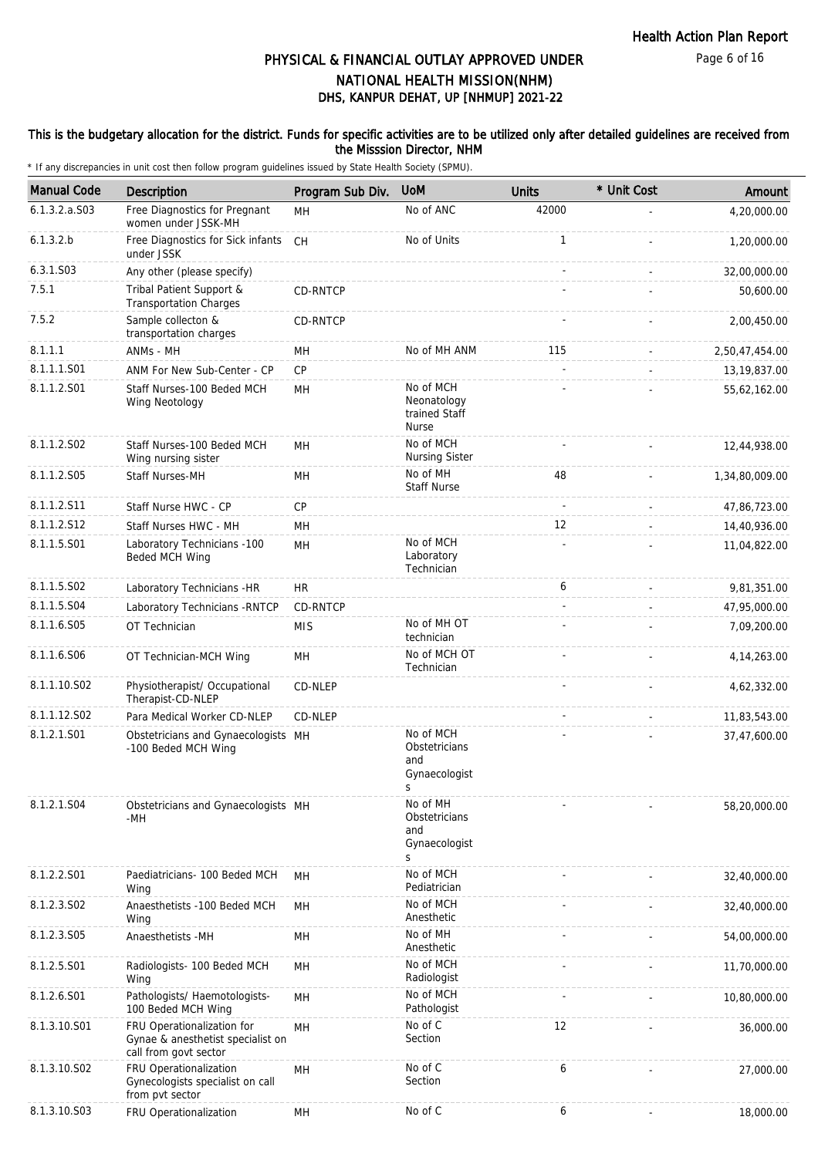Page 6 of 16

# DHS, KANPUR DEHAT, UP [NHMUP] 2021-22 PHYSICAL & FINANCIAL OUTLAY APPROVED UNDER NATIONAL HEALTH MISSION(NHM)

### This is the budgetary allocation for the district. Funds for specific activities are to be utilized only after detailed guidelines are received from the Misssion Director, NHM

| <b>Manual Code</b> | Description                                                                              | Program Sub Div. | <b>UoM</b>                                                | <b>Units</b> | * Unit Cost | Amount         |
|--------------------|------------------------------------------------------------------------------------------|------------------|-----------------------------------------------------------|--------------|-------------|----------------|
| 6.1.3.2.a. S03     | Free Diagnostics for Pregnant<br>women under JSSK-MH                                     | <b>MH</b>        | No of ANC                                                 | 42000        |             | 4,20,000.00    |
| 6.1.3.2.b          | Free Diagnostics for Sick infants<br>under JSSK                                          | CH               | No of Units                                               | $\mathbf{1}$ |             | 1,20,000.00    |
| 6.3.1.S03          | Any other (please specify)                                                               |                  |                                                           |              |             | 32,00,000.00   |
| 7.5.1              | Tribal Patient Support &<br><b>Transportation Charges</b>                                | <b>CD-RNTCP</b>  |                                                           |              |             | 50,600.00      |
| 7.5.2              | Sample collecton &<br>transportation charges                                             | CD-RNTCP         |                                                           |              |             | 2,00,450.00    |
| 8.1.1.1            | ANMs - MH                                                                                | MН               | No of MH ANM                                              | 115          |             | 2,50,47,454.00 |
| 8.1.1.1.S01        | ANM For New Sub-Center - CP                                                              | CP               |                                                           |              |             | 13, 19, 837.00 |
| 8.1.1.2.S01        | Staff Nurses-100 Beded MCH<br>Wing Neotology                                             | MH               | No of MCH<br>Neonatology<br>trained Staff<br><b>Nurse</b> |              |             | 55,62,162.00   |
| 8.1.1.2.S02        | Staff Nurses-100 Beded MCH<br>Wing nursing sister                                        | MH               | No of MCH<br><b>Nursing Sister</b>                        |              |             | 12,44,938.00   |
| 8.1.1.2.S05        | <b>Staff Nurses-MH</b>                                                                   | MН               | No of MH<br><b>Staff Nurse</b>                            | 48           |             | 1,34,80,009.00 |
| 8.1.1.2.S11        | Staff Nurse HWC - CP                                                                     | <b>CP</b>        |                                                           |              |             | 47,86,723.00   |
| 8.1.1.2.S12        | Staff Nurses HWC - MH                                                                    | MH               |                                                           | 12           |             | 14,40,936.00   |
| 8.1.1.5.S01        | Laboratory Technicians -100<br>Beded MCH Wing                                            | <b>MH</b>        | No of MCH<br>Laboratory<br>Technician                     |              |             | 11,04,822.00   |
| 8.1.1.5.S02        | Laboratory Technicians -HR                                                               | <b>HR</b>        |                                                           | 6            |             | 9,81,351.00    |
| 8.1.1.5.S04        | Laboratory Technicians - RNTCP                                                           | CD-RNTCP         |                                                           | ÷,           |             | 47,95,000.00   |
| 8.1.1.6.S05        | OT Technician                                                                            | <b>MIS</b>       | No of MH OT<br>technician                                 |              |             | 7,09,200.00    |
| 8.1.1.6.S06        | OT Technician-MCH Wing                                                                   | MН               | No of MCH OT<br>Technician                                | L.           |             | 4, 14, 263.00  |
| 8.1.1.10.S02       | Physiotherapist/ Occupational<br>Therapist-CD-NLEP                                       | CD-NLEP          |                                                           |              |             | 4,62,332.00    |
| 8.1.1.12.S02       | Para Medical Worker CD-NLEP                                                              | CD-NLEP          |                                                           |              |             | 11,83,543.00   |
| 8.1.2.1.S01        | Obstetricians and Gynaecologists MH<br>-100 Beded MCH Wing                               |                  | No of MCH<br>Obstetricians<br>and<br>Gynaecologist<br>S   |              |             | 37,47,600.00   |
| 8.1.2.1.S04        | Obstetricians and Gynaecologists MH<br>-MH                                               |                  | No of MH<br>Obstetricians<br>and<br>Gynaecologist<br>S    |              |             | 58,20,000.00   |
| 8.1.2.2.S01        | Paediatricians- 100 Beded MCH<br>Wing                                                    | MН               | No of MCH<br>Pediatrician                                 |              |             | 32,40,000.00   |
| 8.1.2.3.S02        | Anaesthetists -100 Beded MCH<br>Wing                                                     | MH               | No of MCH<br>Anesthetic                                   |              |             | 32,40,000.00   |
| 8.1.2.3.S05        | Anaesthetists -MH                                                                        | MH               | No of MH<br>Anesthetic                                    |              |             | 54,00,000.00   |
| 8.1.2.5.S01        | Radiologists- 100 Beded MCH<br>Wing                                                      | MН               | No of MCH<br>Radiologist                                  |              |             | 11,70,000.00   |
| 8.1.2.6.S01        | Pathologists/ Haemotologists-<br>100 Beded MCH Wing                                      | MH               | No of MCH<br>Pathologist                                  |              |             | 10,80,000.00   |
| 8.1.3.10.S01       | FRU Operationalization for<br>Gynae & anesthetist specialist on<br>call from govt sector | MН               | No of C<br>Section                                        | 12           |             | 36,000.00      |
| 8.1.3.10.S02       | FRU Operationalization<br>Gynecologists specialist on call<br>from pvt sector            | MН               | No of C<br>Section                                        | 6            |             | 27,000.00      |
| 8.1.3.10.S03       | FRU Operationalization                                                                   | MН               | No of C                                                   | 6            |             | 18,000.00      |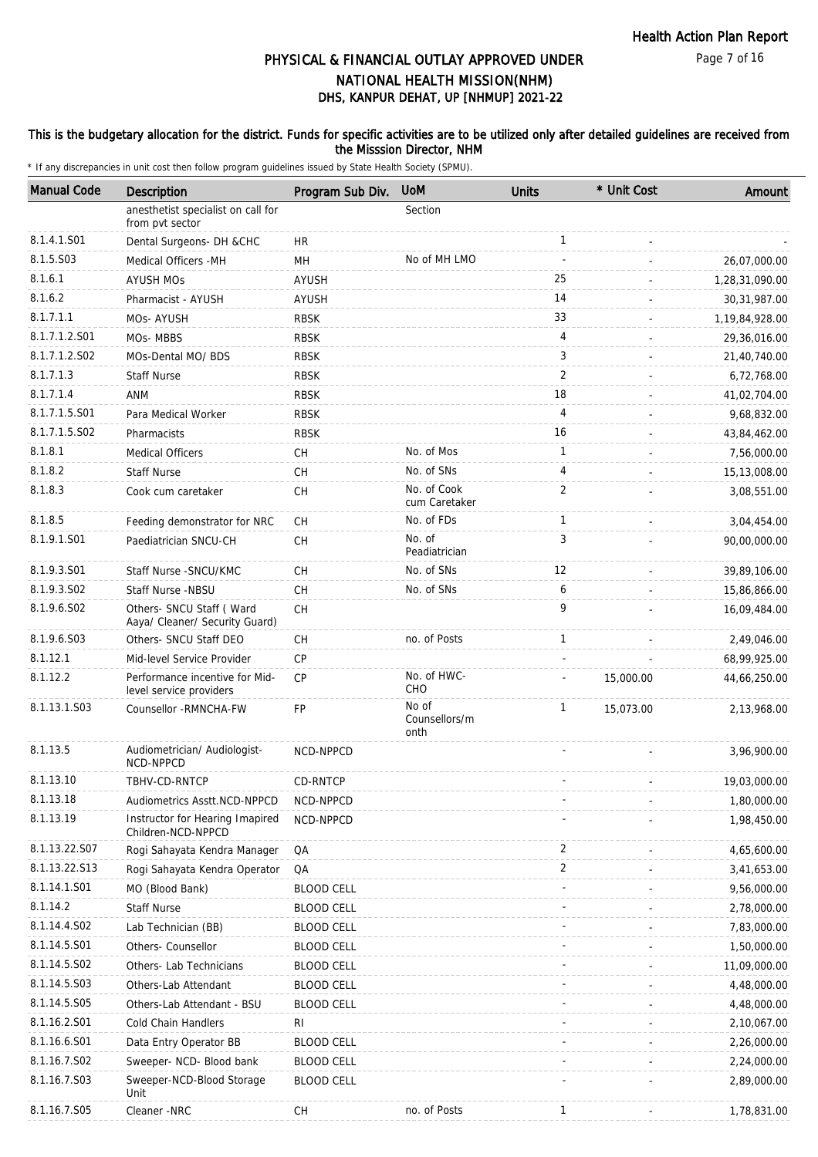#### Page 7 of 16

# DHS, KANPUR DEHAT, UP [NHMUP] 2021-22 PHYSICAL & FINANCIAL OUTLAY APPROVED UNDER NATIONAL HEALTH MISSION(NHM)

### This is the budgetary allocation for the district. Funds for specific activities are to be utilized only after detailed guidelines are received from the Misssion Director, NHM

| <b>Manual Code</b> | Description                                                 | Program Sub Div.  | <b>UoM</b>                     | <b>Units</b>   | * Unit Cost | Amount         |
|--------------------|-------------------------------------------------------------|-------------------|--------------------------------|----------------|-------------|----------------|
|                    | anesthetist specialist on call for<br>from pvt sector       |                   | Section                        |                |             |                |
| 8.1.4.1.S01        | Dental Surgeons- DH &CHC                                    | <b>HR</b>         |                                | $\mathbf{1}$   |             |                |
| 8.1.5.S03          | Medical Officers - MH                                       | MH                | No of MH LMO                   |                |             | 26,07,000.00   |
| 8.1.6.1            | <b>AYUSH MOS</b>                                            | AYUSH             |                                | 25             |             | 1,28,31,090.00 |
| 8.1.6.2            | Pharmacist - AYUSH                                          | <b>AYUSH</b>      |                                | 14             |             | 30,31,987.00   |
| 8.1.7.1.1          | MOs- AYUSH                                                  | <b>RBSK</b>       |                                | 33             |             | 1,19,84,928.00 |
| 8.1.7.1.2.S01      | MOs-MBBS                                                    | <b>RBSK</b>       |                                | 4              |             | 29,36,016.00   |
| 8.1.7.1.2.S02      | MOs-Dental MO/ BDS                                          | <b>RBSK</b>       |                                | 3              |             | 21,40,740.00   |
| 8.1.7.1.3          | <b>Staff Nurse</b>                                          | <b>RBSK</b>       |                                | $\overline{2}$ |             | 6,72,768.00    |
| 8.1.7.1.4          | ANM                                                         | <b>RBSK</b>       |                                | 18             |             | 41,02,704.00   |
| 8.1.7.1.5.S01      | Para Medical Worker                                         | <b>RBSK</b>       |                                | 4              |             | 9,68,832.00    |
| 8.1.7.1.5.S02      | Pharmacists                                                 | <b>RBSK</b>       |                                | 16             |             | 43,84,462.00   |
| 8.1.8.1            | <b>Medical Officers</b>                                     | CН                | No. of Mos                     | 1              |             | 7,56,000.00    |
| 8.1.8.2            | <b>Staff Nurse</b>                                          | CH                | No. of SNs                     | 4              |             | 15,13,008.00   |
| 8.1.8.3            | Cook cum caretaker                                          | CH                | No. of Cook<br>cum Caretaker   | $\overline{2}$ |             | 3,08,551.00    |
| 8.1.8.5            | Feeding demonstrator for NRC                                | CH                | No. of FDs                     | $\mathbf{1}$   |             | 3,04,454.00    |
| 8.1.9.1.S01        | Paediatrician SNCU-CH                                       | CH                | No. of<br>Peadiatrician        | 3              |             | 90,00,000.00   |
| 8.1.9.3.S01        | Staff Nurse - SNCU/KMC                                      | CH                | No. of SNs                     | 12             |             | 39,89,106.00   |
| 8.1.9.3.SO2        | Staff Nurse -NBSU                                           | CH                | No. of SNs                     | 6              |             | 15,86,866.00   |
| 8.1.9.6.S02        | Others- SNCU Staff ( Ward<br>Aaya/ Cleaner/ Security Guard) | CH                |                                | 9              |             | 16,09,484.00   |
| 8.1.9.6.S03        | Others- SNCU Staff DEO                                      | CH                | no. of Posts                   | $\mathbf{1}$   |             | 2,49,046.00    |
| 8.1.12.1           | Mid-level Service Provider                                  | CP                |                                |                |             | 68,99,925.00   |
| 8.1.12.2           | Performance incentive for Mid-<br>level service providers   | <b>CP</b>         | No. of HWC-<br>CHO             |                | 15,000.00   | 44,66,250.00   |
| 8.1.13.1.S03       | Counsellor -RMNCHA-FW                                       | FP                | No of<br>Counsellors/m<br>onth | 1              | 15,073.00   | 2,13,968.00    |
| 8.1.13.5           | Audiometrician/ Audiologist-<br>NCD-NPPCD                   | NCD-NPPCD         |                                |                |             | 3,96,900.00    |
| 8.1.13.10          | TBHV-CD-RNTCP                                               | CD-RNTCP          |                                |                |             | 19,03,000.00   |
| 8.1.13.18          | Audiometrics Asstt.NCD-NPPCD                                | NCD-NPPCD         |                                |                |             | 1,80,000.00    |
| 8.1.13.19          | Instructor for Hearing Imapired<br>Children-NCD-NPPCD       | NCD-NPPCD         |                                |                |             | 1,98,450.00    |
| 8.1.13.22.S07      | Rogi Sahayata Kendra Manager                                | QA                |                                | 2              |             | 4,65,600.00    |
| 8.1.13.22.S13      | Rogi Sahayata Kendra Operator                               | QA                |                                | $\overline{2}$ |             | 3,41,653.00    |
| 8.1.14.1.S01       | MO (Blood Bank)                                             | <b>BLOOD CELL</b> |                                |                |             | 9,56,000.00    |
| 8.1.14.2           | <b>Staff Nurse</b>                                          | <b>BLOOD CELL</b> |                                |                |             | 2,78,000.00    |
| 8.1.14.4.S02       | Lab Technician (BB)                                         | <b>BLOOD CELL</b> |                                |                |             | 7,83,000.00    |
| 8.1.14.5.S01       | Others- Counsellor                                          | <b>BLOOD CELL</b> |                                |                |             | 1,50,000.00    |
| 8.1.14.5.S02       | Others- Lab Technicians                                     | <b>BLOOD CELL</b> |                                |                |             | 11,09,000.00   |
| 8.1.14.5.S03       | Others-Lab Attendant                                        | <b>BLOOD CELL</b> |                                |                |             | 4,48,000.00    |
| 8.1.14.5.S05       | Others-Lab Attendant - BSU                                  | <b>BLOOD CELL</b> |                                |                |             | 4,48,000.00    |
| 8.1.16.2.S01       | Cold Chain Handlers                                         | RI                |                                |                |             | 2,10,067.00    |
| 8.1.16.6.S01       | Data Entry Operator BB                                      | <b>BLOOD CELL</b> |                                |                |             | 2,26,000.00    |
| 8.1.16.7.S02       | Sweeper- NCD- Blood bank                                    | <b>BLOOD CELL</b> |                                |                |             | 2,24,000.00    |
| 8.1.16.7.S03       | Sweeper-NCD-Blood Storage<br>Unit                           | <b>BLOOD CELL</b> |                                |                |             | 2,89,000.00    |
| 8.1.16.7.S05       | Cleaner -NRC                                                | СH                | no. of Posts                   | 1              |             | 1,78,831.00    |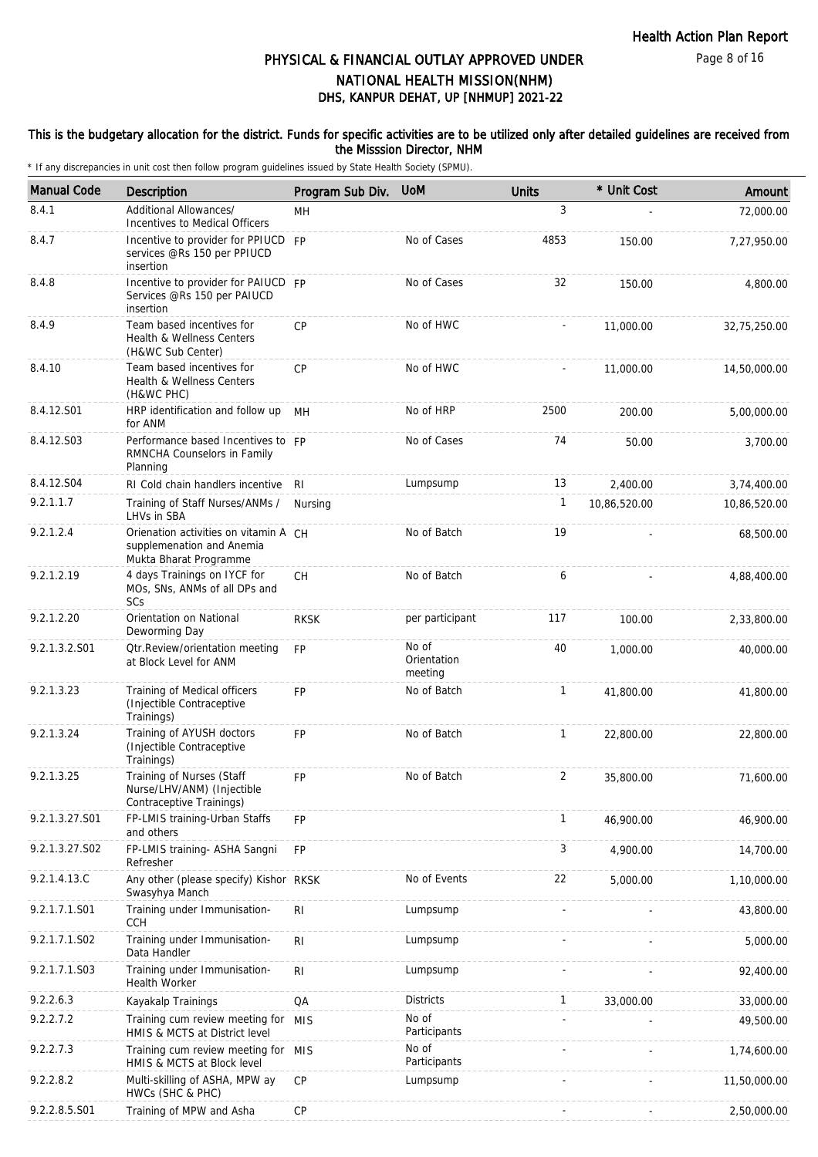Page 8 of 16

# DHS, KANPUR DEHAT, UP [NHMUP] 2021-22 PHYSICAL & FINANCIAL OUTLAY APPROVED UNDER NATIONAL HEALTH MISSION(NHM)

### This is the budgetary allocation for the district. Funds for specific activities are to be utilized only after detailed guidelines are received from the Misssion Director, NHM

| <b>Manual Code</b> | Description                                                                                  | Program Sub Div. | <b>UoM</b>                      | <b>Units</b>   | * Unit Cost  | Amount       |
|--------------------|----------------------------------------------------------------------------------------------|------------------|---------------------------------|----------------|--------------|--------------|
| 8.4.1              | Additional Allowances/<br>Incentives to Medical Officers                                     | <b>MH</b>        |                                 | 3              |              | 72,000.00    |
| 8.4.7              | Incentive to provider for PPIUCD FP<br>services @Rs 150 per PPIUCD<br>insertion              |                  | No of Cases                     | 4853           | 150.00       | 7,27,950.00  |
| 8.4.8              | Incentive to provider for PAIUCD FP<br>Services @Rs 150 per PAIUCD<br>insertion              |                  | No of Cases                     | 32             | 150.00       | 4,800.00     |
| 8.4.9              | Team based incentives for<br><b>Health &amp; Wellness Centers</b><br>(H&WC Sub Center)       | CP               | No of HWC                       |                | 11,000.00    | 32,75,250.00 |
| 8.4.10             | Team based incentives for<br>Health & Wellness Centers<br>(H&WC PHC)                         | CP               | No of HWC                       |                | 11,000.00    | 14,50,000.00 |
| 8.4.12.S01         | HRP identification and follow up<br>for ANM                                                  | MH               | No of HRP                       | 2500           | 200.00       | 5,00,000.00  |
| 8.4.12.S03         | Performance based Incentives to FP<br>RMNCHA Counselors in Family<br>Planning                |                  | No of Cases                     | 74             | 50.00        | 3,700.00     |
| 8.4.12.S04         | RI Cold chain handlers incentive                                                             | -RI              | Lumpsump                        | 13             | 2,400.00     | 3,74,400.00  |
| 9.2.1.1.7          | Training of Staff Nurses/ANMs /<br>LHVs in SBA                                               | Nursing          |                                 | $\mathbf{1}$   | 10,86,520.00 | 10,86,520.00 |
| 9.2.1.2.4          | Orienation activities on vitamin A CH<br>supplemenation and Anemia<br>Mukta Bharat Programme |                  | No of Batch                     | 19             |              | 68,500.00    |
| 9.2.1.2.19         | 4 days Trainings on IYCF for<br>MOs, SNs, ANMs of all DPs and<br>SCs                         | CH               | No of Batch                     | 6              |              | 4,88,400.00  |
| 9.2.1.2.20         | Orientation on National<br>Deworming Day                                                     | <b>RKSK</b>      | per participant                 | 117            | 100.00       | 2,33,800.00  |
| 9.2.1.3.2.S01      | Otr.Review/orientation meeting<br>at Block Level for ANM                                     | FP               | No of<br>Orientation<br>meeting | 40             | 1,000.00     | 40,000.00    |
| 9.2.1.3.23         | Training of Medical officers<br>(Injectible Contraceptive<br>Trainings)                      | <b>FP</b>        | No of Batch                     | $\mathbf{1}$   | 41,800.00    | 41,800.00    |
| 9.2.1.3.24         | Training of AYUSH doctors<br>(Injectible Contraceptive<br>Trainings)                         | <b>FP</b>        | No of Batch                     | $\mathbf{1}$   | 22,800.00    | 22,800.00    |
| 9.2.1.3.25         | Training of Nurses (Staff<br>Nurse/LHV/ANM) (Injectible<br>Contraceptive Trainings)          | FP               | No of Batch                     | $\overline{2}$ | 35,800.00    | 71,600.00    |
| 9.2.1.3.27.S01     | FP-LMIS training-Urban Staffs<br>and others                                                  | FP               |                                 | $\mathbf{1}$   | 46,900.00    | 46,900.00    |
| 9.2.1.3.27.S02     | FP-LMIS training- ASHA Sangni<br>Refresher                                                   | <b>FP</b>        |                                 | 3              | 4,900.00     | 14,700.00    |
| 9.2.1.4.13.C       | Any other (please specify) Kishor RKSK<br>Swasyhya Manch                                     |                  | No of Events                    | 22             | 5,000.00     | 1,10,000.00  |
| 9.2.1.7.1.S01      | Training under Immunisation-<br><b>CCH</b>                                                   | R <sub>l</sub>   | Lumpsump                        |                |              | 43,800.00    |
| 9.2.1.7.1.S02      | Training under Immunisation-<br>Data Handler                                                 | R <sub>l</sub>   | Lumpsump                        |                |              | 5,000.00     |
| 9.2.1.7.1.S03      | Training under Immunisation-<br><b>Health Worker</b>                                         | RI               | Lumpsump                        |                |              | 92,400.00    |
| 9.2.2.6.3          | Kayakalp Trainings                                                                           | QA               | <b>Districts</b>                | $\mathbf{1}$   | 33,000.00    | 33,000.00    |
| 9.2.2.7.2          | Training cum review meeting for MIS<br>HMIS & MCTS at District level                         |                  | No of<br>Participants           |                |              | 49,500.00    |
| 9.2.2.7.3          | Training cum review meeting for MIS<br>HMIS & MCTS at Block level                            |                  | No of<br>Participants           |                |              | 1,74,600.00  |
| 9.2.2.8.2          | Multi-skilling of ASHA, MPW ay<br>HWCs (SHC & PHC)                                           | CP               | Lumpsump                        |                |              | 11,50,000.00 |
| 9.2.2.8.5.S01      | Training of MPW and Asha                                                                     | CP               |                                 |                |              | 2,50,000.00  |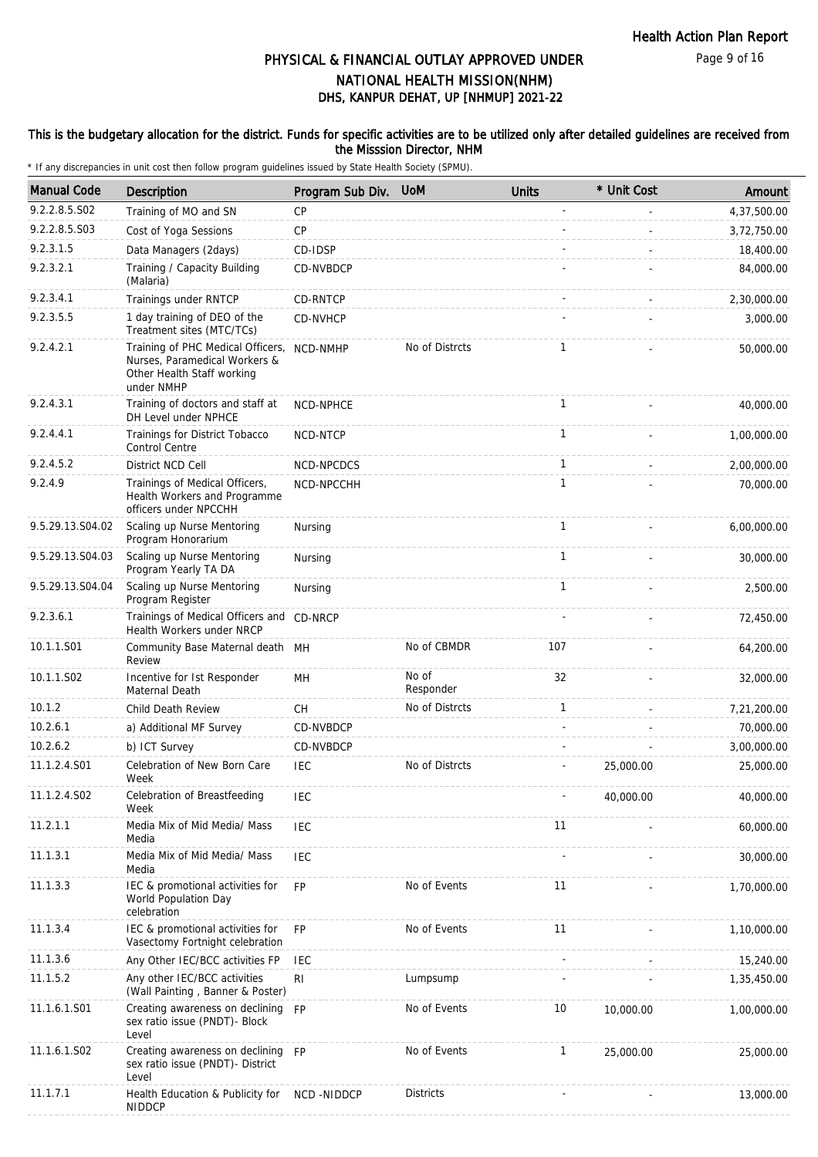### This is the budgetary allocation for the district. Funds for specific activities are to be utilized only after detailed guidelines are received from the Misssion Director, NHM

| <b>Manual Code</b> | Description                                                                                                    | Program Sub Div. | <b>UoM</b>         | <b>Units</b> | * Unit Cost | Amount      |
|--------------------|----------------------------------------------------------------------------------------------------------------|------------------|--------------------|--------------|-------------|-------------|
| 9.2.2.8.5.S02      | Training of MO and SN                                                                                          | <b>CP</b>        |                    |              |             | 4,37,500.00 |
| 9.2.2.8.5.S03      | Cost of Yoga Sessions                                                                                          | <b>CP</b>        |                    |              |             | 3,72,750.00 |
| 9.2.3.1.5          | Data Managers (2days)                                                                                          | CD-IDSP          |                    |              |             | 18,400.00   |
| 9.2.3.2.1          | Training / Capacity Building<br>(Malaria)                                                                      | CD-NVBDCP        |                    |              |             | 84,000.00   |
| 9.2.3.4.1          | Trainings under RNTCP                                                                                          | CD-RNTCP         |                    |              |             | 2,30,000.00 |
| 9.2.3.5.5          | 1 day training of DEO of the<br>Treatment sites (MTC/TCs)                                                      | CD-NVHCP         |                    |              |             | 3,000.00    |
| 9.2.4.2.1          | Training of PHC Medical Officers,<br>Nurses, Paramedical Workers &<br>Other Health Staff working<br>under NMHP | NCD-NMHP         | No of Distrcts     | 1            |             | 50,000.00   |
| 9.2.4.3.1          | Training of doctors and staff at<br>DH Level under NPHCE                                                       | NCD-NPHCE        |                    | $\mathbf{1}$ |             | 40,000.00   |
| 9.2.4.4.1          | Trainings for District Tobacco<br><b>Control Centre</b>                                                        | NCD-NTCP         |                    | $\mathbf{1}$ |             | 1,00,000.00 |
| 9.2.4.5.2          | District NCD Cell                                                                                              | NCD-NPCDCS       |                    | $\mathbf{1}$ |             | 2,00,000.00 |
| 9.2.4.9            | Trainings of Medical Officers,<br>Health Workers and Programme<br>officers under NPCCHH                        | NCD-NPCCHH       |                    | $\mathbf{1}$ |             | 70,000.00   |
| 9.5.29.13.S04.02   | Scaling up Nurse Mentoring<br>Program Honorarium                                                               | Nursing          |                    | 1            |             | 6,00,000.00 |
| 9.5.29.13.S04.03   | Scaling up Nurse Mentoring<br>Program Yearly TA DA                                                             | Nursing          |                    | $\mathbf{1}$ |             | 30,000.00   |
| 9.5.29.13.S04.04   | Scaling up Nurse Mentoring<br>Program Register                                                                 | Nursing          |                    | $\mathbf{1}$ |             | 2,500.00    |
| 9.2.3.6.1          | Trainings of Medical Officers and CD-NRCP<br>Health Workers under NRCP                                         |                  |                    |              |             | 72,450.00   |
| 10.1.1.S01         | Community Base Maternal death MH<br>Review                                                                     |                  | No of CBMDR        | 107          |             | 64,200.00   |
| 10.1.1.S02         | Incentive for Ist Responder<br>Maternal Death                                                                  | MH               | No of<br>Responder | 32           |             | 32,000.00   |
| 10.1.2             | Child Death Review                                                                                             | СH               | No of Distrcts     | 1            |             | 7,21,200.00 |
| 10.2.6.1           | a) Additional MF Survey                                                                                        | CD-NVBDCP        |                    |              |             | 70,000.00   |
| 10.2.6.2           | b) ICT Survey                                                                                                  | CD-NVBDCP        |                    |              |             | 3,00,000.00 |
| 11.1.2.4.S01       | Celebration of New Born Care<br>Week                                                                           | <b>IEC</b>       | No of Distrcts     |              | 25,000.00   | 25,000.00   |
| 11.1.2.4.S02       | Celebration of Breastfeeding<br>Week                                                                           | <b>IEC</b>       |                    |              | 40,000.00   | 40,000.00   |
| 11.2.1.1           | Media Mix of Mid Media/ Mass<br>Media                                                                          | <b>IEC</b>       |                    | 11           |             | 60,000.00   |
| 11.1.3.1           | Media Mix of Mid Media/ Mass<br>Media                                                                          | IEC              |                    |              |             | 30,000.00   |
| 11.1.3.3           | IEC & promotional activities for<br>World Population Day<br>celebration                                        | <b>FP</b>        | No of Events       | 11           |             | 1,70,000.00 |
| 11.1.3.4           | IEC & promotional activities for<br>Vasectomy Fortnight celebration                                            | <b>FP</b>        | No of Events       | 11           |             | 1,10,000.00 |
| 11.1.3.6           | Any Other IEC/BCC activities FP                                                                                | <b>IEC</b>       |                    |              |             | 15,240.00   |
| 11.1.5.2           | Any other IEC/BCC activities<br>(Wall Painting, Banner & Poster)                                               | R <sub>l</sub>   | Lumpsump           |              |             | 1,35,450.00 |
| 11.1.6.1.S01       | Creating awareness on declining<br>sex ratio issue (PNDT)- Block<br>Level                                      | <b>FP</b>        | No of Events       | 10           | 10,000.00   | 1,00,000.00 |
| 11.1.6.1.S02       | Creating awareness on declining FP<br>sex ratio issue (PNDT)- District<br>Level                                |                  | No of Events       | $\mathbf{1}$ | 25,000.00   | 25,000.00   |
| 11.1.7.1           | Health Education & Publicity for<br><b>NIDDCP</b>                                                              | NCD -NIDDCP      | <b>Districts</b>   |              |             | 13,000.00   |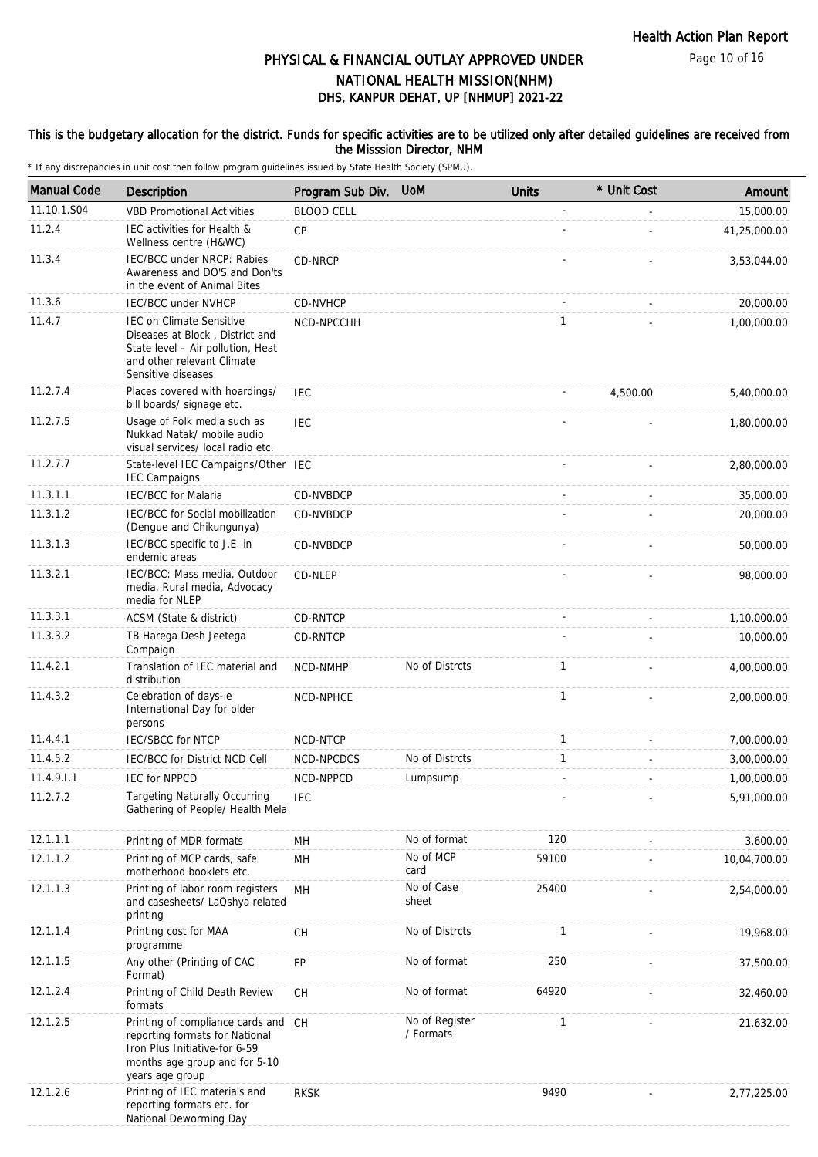Page 10 of 16

# DHS, KANPUR DEHAT, UP [NHMUP] 2021-22 PHYSICAL & FINANCIAL OUTLAY APPROVED UNDER NATIONAL HEALTH MISSION(NHM)

#### This is the budgetary allocation for the district. Funds for specific activities are to be utilized only after detailed guidelines are received from the Misssion Director, NHM

| <b>Manual Code</b> | Description                                                                                                                                                 | Program Sub Div.                         | <b>UoM</b>                  | <b>Units</b> | * Unit Cost | Amount       |
|--------------------|-------------------------------------------------------------------------------------------------------------------------------------------------------------|------------------------------------------|-----------------------------|--------------|-------------|--------------|
| 11.10.1.S04        | <b>VBD Promotional Activities</b>                                                                                                                           | <b>BLOOD CELL</b>                        |                             |              |             | 15,000.00    |
| 11.2.4             | IEC activities for Health &<br>Wellness centre (H&WC)                                                                                                       | <b>CP</b>                                |                             |              |             | 41,25,000.00 |
| 11.3.4             | IEC/BCC under NRCP: Rabies<br>Awareness and DO'S and Don'ts<br>in the event of Animal Bites                                                                 | CD-NRCP                                  |                             |              |             | 3,53,044.00  |
| 11.3.6             | <b>IEC/BCC under NVHCP</b>                                                                                                                                  | CD-NVHCP                                 |                             |              |             | 20,000.00    |
| 11.4.7             | <b>IEC on Climate Sensitive</b><br>Diseases at Block, District and<br>State level - Air pollution, Heat<br>and other relevant Climate<br>Sensitive diseases | NCD-NPCCHH                               |                             | $\mathbf{1}$ |             | 1,00,000.00  |
| 11.2.7.4           | Places covered with hoardings/<br>bill boards/ signage etc.                                                                                                 | <b>IEC</b>                               |                             |              | 4,500.00    | 5,40,000.00  |
| 11.2.7.5           | Usage of Folk media such as<br>Nukkad Natak/ mobile audio<br>visual services/ local radio etc.                                                              | <b>IEC</b>                               |                             |              |             | 1,80,000.00  |
| 11.2.7.7           | State-level IEC Campaigns/Other IEC<br><b>IEC Campaigns</b>                                                                                                 |                                          |                             |              |             | 2,80,000.00  |
| 11.3.1.1           | <b>IEC/BCC</b> for Malaria                                                                                                                                  | CD-NVBDCP                                |                             |              |             | 35,000.00    |
| 11.3.1.2           | IEC/BCC for Social mobilization<br>(Dengue and Chikungunya)                                                                                                 | CD-NVBDCP                                |                             |              |             | 20,000.00    |
| 11.3.1.3           | IEC/BCC specific to J.E. in<br>endemic areas                                                                                                                | CD-NVBDCP                                |                             |              |             | 50,000.00    |
| 11.3.2.1           | IEC/BCC: Mass media, Outdoor<br>media, Rural media, Advocacy<br>media for NLEP                                                                              | CD-NLEP                                  |                             |              |             | 98,000.00    |
| 11.3.3.1           | ACSM (State & district)                                                                                                                                     | <b>CD-RNTCP</b>                          |                             |              |             | 1,10,000.00  |
| 11.3.3.2           | TB Harega Desh Jeetega<br>Compaign                                                                                                                          | <b>CD-RNTCP</b>                          |                             |              |             | 10,000.00    |
| 11.4.2.1           | Translation of IEC material and<br>distribution                                                                                                             | <b>NCD-NMHP</b>                          | No of Distrcts              | $\mathbf{1}$ |             | 4,00,000.00  |
| 11.4.3.2           | Celebration of days-ie<br>International Day for older<br>persons                                                                                            | NCD-NPHCE                                |                             | $\mathbf{1}$ |             | 2,00,000.00  |
| 11.4.4.1           | <b>IEC/SBCC for NTCP</b>                                                                                                                                    | NCD-NTCP                                 |                             | $\mathbf{1}$ |             | 7,00,000.00  |
| 11.4.5.2           | IEC/BCC for District NCD Cell                                                                                                                               | NCD-NPCDCS                               | No of Distrcts              | $\mathbf{1}$ |             | 3,00,000.00  |
| 11.4.9.1.1         | <b>IEC for NPPCD</b>                                                                                                                                        | NCD-NPPCD                                | Lumpsump                    |              |             | 1,00,000.00  |
| 11.2.7.2           | <b>Targeting Naturally Occurring</b><br>Gathering of People/ Health Mela                                                                                    | <b>IEC</b>                               |                             |              |             | 5,91,000.00  |
| 12.1.1.1           | Printing of MDR formats                                                                                                                                     | MН                                       | No of format                | 120          |             | 3,600.00     |
| 12.1.1.2           | Printing of MCP cards, safe<br>motherhood booklets etc.                                                                                                     | MH                                       | No of MCP<br>card           | 59100        |             | 10,04,700.00 |
| 12.1.1.3           | Printing of labor room registers<br>and casesheets/ LaQshya related<br>printing                                                                             | <b>MH</b>                                | No of Case<br>sheet         | 25400        |             | 2,54,000.00  |
| 12.1.1.4           | Printing cost for MAA<br>programme                                                                                                                          | $\mathsf{CH}% \left( \mathcal{M}\right)$ | No of Distrcts              | $\mathbf{1}$ |             | 19,968.00    |
| 12.1.1.5           | Any other (Printing of CAC<br>Format)                                                                                                                       | FP                                       | No of format                | 250          |             | 37,500.00    |
| 12.1.2.4           | Printing of Child Death Review<br>formats                                                                                                                   | СH                                       | No of format                | 64920        |             | 32,460.00    |
| 12.1.2.5           | Printing of compliance cards and CH<br>reporting formats for National<br>Iron Plus Initiative-for 6-59<br>months age group and for 5-10<br>years age group  |                                          | No of Register<br>/ Formats | $\mathbf{1}$ |             | 21,632.00    |
| 12.1.2.6           | Printing of IEC materials and<br>reporting formats etc. for<br>National Deworming Day                                                                       | <b>RKSK</b>                              |                             | 9490         |             | 2,77,225.00  |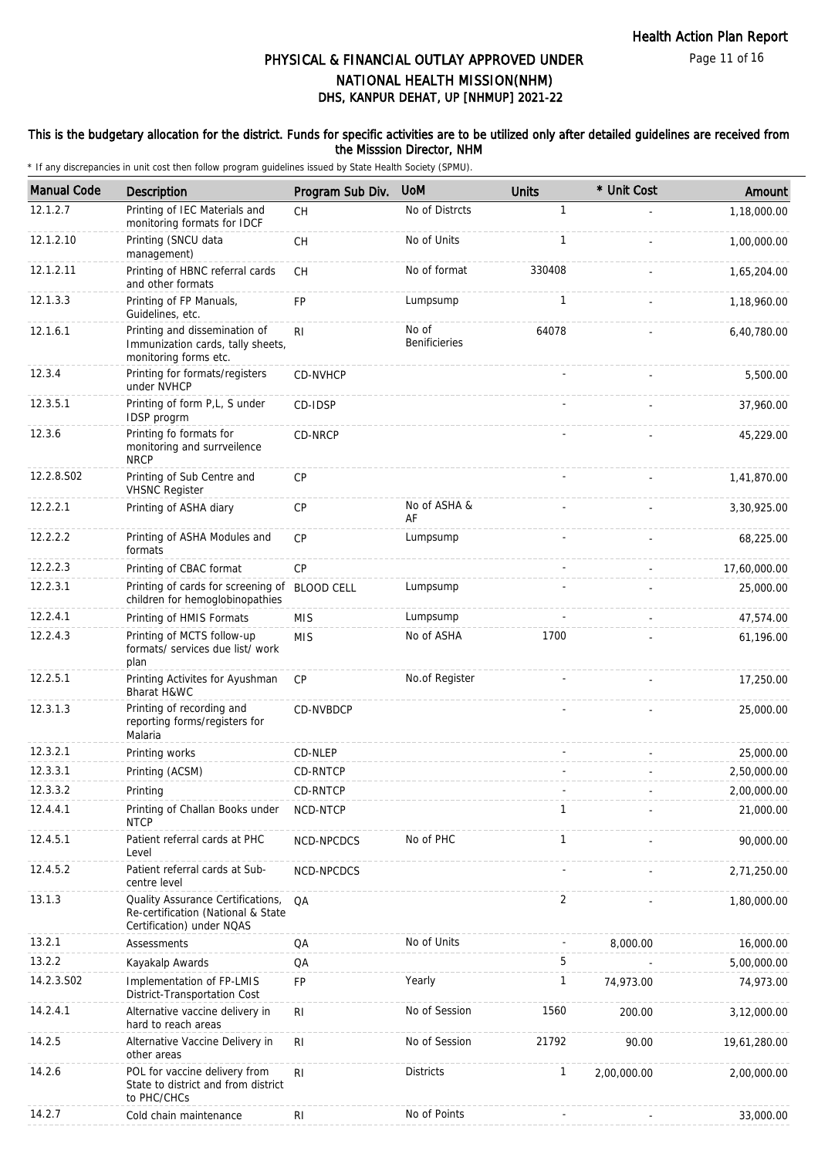### This is the budgetary allocation for the district. Funds for specific activities are to be utilized only after detailed guidelines are received from the Misssion Director, NHM

| <b>Manual Code</b> | Description                                                                                          | Program Sub Div. | <b>UoM</b>                    | <b>Units</b> | * Unit Cost | Amount       |
|--------------------|------------------------------------------------------------------------------------------------------|------------------|-------------------------------|--------------|-------------|--------------|
| 12.1.2.7           | Printing of IEC Materials and<br>monitoring formats for IDCF                                         | <b>CH</b>        | No of Distrcts                | 1            |             | 1,18,000.00  |
| 12.1.2.10          | Printing (SNCU data<br>management)                                                                   | CH               | No of Units                   | $\mathbf{1}$ |             | 1,00,000.00  |
| 12.1.2.11          | Printing of HBNC referral cards<br>and other formats                                                 | <b>CH</b>        | No of format                  | 330408       |             | 1,65,204.00  |
| 12.1.3.3           | Printing of FP Manuals,<br>Guidelines, etc.                                                          | <b>FP</b>        | Lumpsump                      | 1            |             | 1,18,960.00  |
| 12.1.6.1           | Printing and dissemination of<br>Immunization cards, tally sheets,<br>monitoring forms etc.          | R <sub>l</sub>   | No of<br><b>Benificieries</b> | 64078        |             | 6,40,780.00  |
| 12.3.4             | Printing for formats/registers<br>under NVHCP                                                        | <b>CD-NVHCP</b>  |                               |              |             | 5,500.00     |
| 12.3.5.1           | Printing of form P,L, S under<br>IDSP progrm                                                         | CD-IDSP          |                               |              |             | 37,960.00    |
| 12.3.6             | Printing fo formats for<br>monitoring and surrveilence<br><b>NRCP</b>                                | CD-NRCP          |                               |              |             | 45,229.00    |
| 12.2.8.S02         | Printing of Sub Centre and<br><b>VHSNC Register</b>                                                  | CP               |                               |              |             | 1,41,870.00  |
| 12.2.2.1           | Printing of ASHA diary                                                                               | <b>CP</b>        | No of ASHA &<br>AF            |              |             | 3,30,925.00  |
| 12.2.2.2           | Printing of ASHA Modules and<br>formats                                                              | CP               | Lumpsump                      |              |             | 68,225.00    |
| 12.2.2.3           | Printing of CBAC format                                                                              | CP               |                               |              |             | 17,60,000.00 |
| 12.2.3.1           | Printing of cards for screening of BLOOD CELL<br>children for hemoglobinopathies                     |                  | Lumpsump                      |              |             | 25,000.00    |
| 12.2.4.1           | Printing of HMIS Formats                                                                             | <b>MIS</b>       | Lumpsump                      |              |             | 47,574.00    |
| 12.2.4.3           | Printing of MCTS follow-up<br>formats/ services due list/ work<br>plan                               | <b>MIS</b>       | No of ASHA                    | 1700         |             | 61,196.00    |
| 12.2.5.1           | Printing Activites for Ayushman<br>Bharat H&WC                                                       | CP               | No.of Register                |              |             | 17,250.00    |
| 12.3.1.3           | Printing of recording and<br>reporting forms/registers for<br>Malaria                                | CD-NVBDCP        |                               |              |             | 25,000.00    |
| 12.3.2.1           | Printing works                                                                                       | CD-NLEP          |                               |              |             | 25,000.00    |
| 12.3.3.1           | Printing (ACSM)                                                                                      | <b>CD-RNTCP</b>  |                               |              |             | 2,50,000.00  |
| 12.3.3.2           | Printing                                                                                             | CD-RNTCP         |                               |              |             | 2,00,000.00  |
| 12.4.4.1           | Printing of Challan Books under<br><b>NTCP</b>                                                       | NCD-NTCP         |                               | $\mathbf{1}$ |             | 21,000.00    |
| 12.4.5.1           | Patient referral cards at PHC<br>Level                                                               | NCD-NPCDCS       | No of PHC                     | $\mathbf{1}$ |             | 90,000.00    |
| 12.4.5.2           | Patient referral cards at Sub-<br>centre level                                                       | NCD-NPCDCS       |                               |              |             | 2,71,250.00  |
| 13.1.3             | Quality Assurance Certifications,<br>Re-certification (National & State<br>Certification) under NQAS | QA               |                               | 2            |             | 1,80,000.00  |
| 13.2.1             | Assessments                                                                                          | QA               | No of Units                   |              | 8,000.00    | 16,000.00    |
| 13.2.2             | Kayakalp Awards                                                                                      | QA               |                               | 5            |             | 5,00,000.00  |
| 14.2.3.S02         | Implementation of FP-LMIS<br>District-Transportation Cost                                            | <b>FP</b>        | Yearly                        | 1            | 74,973.00   | 74,973.00    |
| 14.2.4.1           | Alternative vaccine delivery in<br>hard to reach areas                                               | R <sub>l</sub>   | No of Session                 | 1560         | 200.00      | 3,12,000.00  |
| 14.2.5             | Alternative Vaccine Delivery in<br>other areas                                                       | R <sub>l</sub>   | No of Session                 | 21792        | 90.00       | 19,61,280.00 |
| 14.2.6             | POL for vaccine delivery from<br>State to district and from district<br>to PHC/CHCs                  | RI.              | <b>Districts</b>              | 1            | 2,00,000.00 | 2,00,000.00  |
| 14.2.7             | Cold chain maintenance                                                                               | R <sub>1</sub>   | No of Points                  |              |             | 33,000.00    |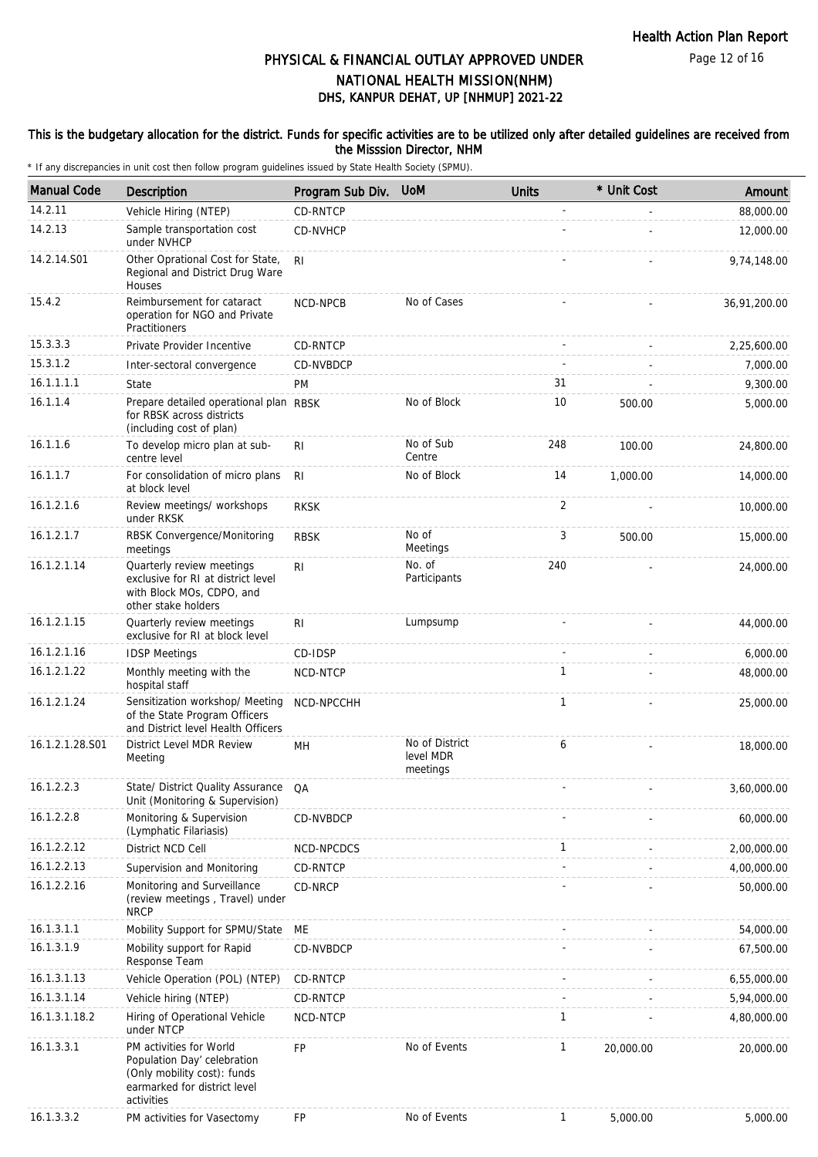#### This is the budgetary allocation for the district. Funds for specific activities are to be utilized only after detailed guidelines are received from the Misssion Director, NHM

| <b>Manual Code</b> | Description                                                                                                                         | Program Sub Div. | <b>UoM</b>                              | <b>Units</b> | * Unit Cost | Amount       |
|--------------------|-------------------------------------------------------------------------------------------------------------------------------------|------------------|-----------------------------------------|--------------|-------------|--------------|
| 14.2.11            | Vehicle Hiring (NTEP)                                                                                                               | CD-RNTCP         |                                         |              |             | 88,000.00    |
| 14.2.13            | Sample transportation cost<br>under NVHCP                                                                                           | CD-NVHCP         |                                         |              |             | 12,000.00    |
| 14.2.14.S01        | Other Oprational Cost for State,<br>Regional and District Drug Ware<br>Houses                                                       | R <sub>1</sub>   |                                         |              |             | 9,74,148.00  |
| 15.4.2             | Reimbursement for cataract<br>operation for NGO and Private<br>Practitioners                                                        | <b>NCD-NPCB</b>  | No of Cases                             |              |             | 36,91,200.00 |
| 15.3.3.3           | Private Provider Incentive                                                                                                          | CD-RNTCP         |                                         |              |             | 2,25,600.00  |
| 15.3.1.2           | Inter-sectoral convergence                                                                                                          | CD-NVBDCP        |                                         |              |             | 7,000.00     |
| 16.1.1.1.1         | State                                                                                                                               | <b>PM</b>        |                                         | 31           |             | 9,300.00     |
| 16.1.1.4           | Prepare detailed operational plan RBSK<br>for RBSK across districts<br>(including cost of plan)                                     |                  | No of Block                             | 10           | 500.00      | 5,000.00     |
| 16.1.1.6           | To develop micro plan at sub-<br>centre level                                                                                       | R <sub>1</sub>   | No of Sub<br>Centre                     | 248          | 100.00      | 24,800.00    |
| 16.1.1.7           | For consolidation of micro plans<br>at block level                                                                                  | R <sub>l</sub>   | No of Block                             | 14           | 1,000.00    | 14,000.00    |
| 16.1.2.1.6         | Review meetings/ workshops<br>under RKSK                                                                                            | <b>RKSK</b>      |                                         | 2            |             | 10,000.00    |
| 16.1.2.1.7         | RBSK Convergence/Monitoring<br>meetings                                                                                             | <b>RBSK</b>      | No of<br>Meetings                       | 3            | 500.00      | 15,000.00    |
| 16.1.2.1.14        | Quarterly review meetings<br>exclusive for RI at district level<br>with Block MOs, CDPO, and<br>other stake holders                 | R <sub>1</sub>   | No. of<br>Participants                  | 240          |             | 24,000.00    |
| 16.1.2.1.15        | Quarterly review meetings<br>exclusive for RI at block level                                                                        | R <sub>1</sub>   | Lumpsump                                |              |             | 44,000.00    |
| 16.1.2.1.16        | <b>IDSP Meetings</b>                                                                                                                | CD-IDSP          |                                         |              |             | 6,000.00     |
| 16.1.2.1.22        | Monthly meeting with the<br>hospital staff                                                                                          | NCD-NTCP         |                                         | $\mathbf{1}$ |             | 48,000.00    |
| 16.1.2.1.24        | Sensitization workshop/ Meeting<br>of the State Program Officers<br>and District level Health Officers                              | NCD-NPCCHH       |                                         | $\mathbf{1}$ |             | 25,000.00    |
| 16.1.2.1.28.S01    | District Level MDR Review<br>Meeting                                                                                                | MН               | No of District<br>level MDR<br>meetings | 6            |             | 18,000.00    |
| 16.1.2.2.3         | State/ District Quality Assurance QA<br>Unit (Monitoring & Supervision)                                                             |                  |                                         |              |             | 3,60,000.00  |
| 16.1.2.2.8         | Monitoring & Supervision<br>(Lymphatic Filariasis)                                                                                  | CD-NVBDCP        |                                         |              |             | 60,000.00    |
| 16.1.2.2.12        | District NCD Cell                                                                                                                   | NCD-NPCDCS       |                                         | 1            |             | 2,00,000.00  |
| 16.1.2.2.13        | Supervision and Monitoring                                                                                                          | CD-RNTCP         |                                         |              |             | 4,00,000.00  |
| 16.1.2.2.16        | Monitoring and Surveillance<br>(review meetings, Travel) under<br><b>NRCP</b>                                                       | CD-NRCP          |                                         |              |             | 50,000.00    |
| 16.1.3.1.1         | Mobility Support for SPMU/State                                                                                                     | ME               |                                         |              |             | 54,000.00    |
| 16.1.3.1.9         | Mobility support for Rapid<br>Response Team                                                                                         | CD-NVBDCP        |                                         |              |             | 67,500.00    |
| 16.1.3.1.13        | Vehicle Operation (POL) (NTEP)                                                                                                      | CD-RNTCP         |                                         |              |             | 6,55,000.00  |
| 16.1.3.1.14        | Vehicle hiring (NTEP)                                                                                                               | CD-RNTCP         |                                         |              |             | 5,94,000.00  |
| 16.1.3.1.18.2      | Hiring of Operational Vehicle<br>under NTCP                                                                                         | NCD-NTCP         |                                         | 1            |             | 4,80,000.00  |
| 16.1.3.3.1         | PM activities for World<br>Population Day' celebration<br>(Only mobility cost): funds<br>earmarked for district level<br>activities | <b>FP</b>        | No of Events                            | 1            | 20,000.00   | 20,000.00    |
| 16.1.3.3.2         | PM activities for Vasectomy                                                                                                         | FP               | No of Events                            | $\mathbf{1}$ | 5,000.00    | 5,000.00     |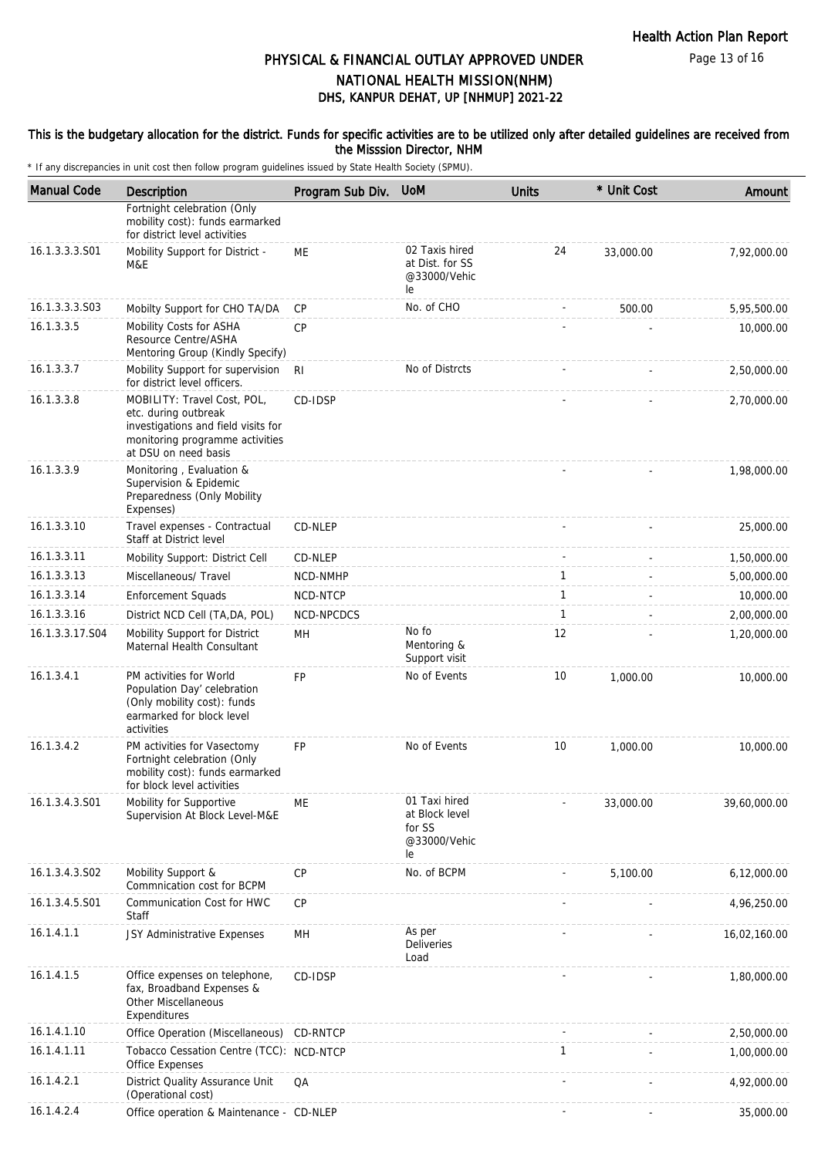#### This is the budgetary allocation for the district. Funds for specific activities are to be utilized only after detailed guidelines are received from the Misssion Director, NHM

| <b>Manual Code</b> | Description                                                                                                                                           | Program Sub Div. | <b>UoM</b>                                                      | <b>Units</b> | * Unit Cost | Amount       |
|--------------------|-------------------------------------------------------------------------------------------------------------------------------------------------------|------------------|-----------------------------------------------------------------|--------------|-------------|--------------|
|                    | Fortnight celebration (Only<br>mobility cost): funds earmarked<br>for district level activities                                                       |                  |                                                                 |              |             |              |
| 16.1.3.3.3.S01     | Mobility Support for District -<br>M&E                                                                                                                | <b>ME</b>        | 02 Taxis hired<br>at Dist. for SS<br>@33000/Vehic<br>le         | 24           | 33.000.00   | 7,92,000.00  |
| 16.1.3.3.3.S03     | Mobilty Support for CHO TA/DA                                                                                                                         | CP               | No. of CHO                                                      |              | 500.00      | 5,95,500.00  |
| 16.1.3.3.5         | Mobility Costs for ASHA<br>Resource Centre/ASHA<br>Mentoring Group (Kindly Specify)                                                                   | CP               |                                                                 |              |             | 10,000.00    |
| 16.1.3.3.7         | Mobility Support for supervision<br>for district level officers.                                                                                      | - RI             | No of Distrcts                                                  |              |             | 2,50,000.00  |
| 16.1.3.3.8         | MOBILITY: Travel Cost, POL,<br>etc. during outbreak<br>investigations and field visits for<br>monitoring programme activities<br>at DSU on need basis | CD-IDSP          |                                                                 |              |             | 2,70,000.00  |
| 16.1.3.3.9         | Monitoring, Evaluation &<br>Supervision & Epidemic<br>Preparedness (Only Mobility<br>Expenses)                                                        |                  |                                                                 |              |             | 1,98,000.00  |
| 16.1.3.3.10        | Travel expenses - Contractual<br>Staff at District level                                                                                              | CD-NLEP          |                                                                 |              |             | 25,000.00    |
| 16.1.3.3.11        | Mobility Support: District Cell                                                                                                                       | CD-NLEP          |                                                                 |              |             | 1,50,000.00  |
| 16.1.3.3.13        | Miscellaneous/ Travel                                                                                                                                 | NCD-NMHP         |                                                                 | $\mathbf{1}$ |             | 5,00,000.00  |
| 16.1.3.3.14        | <b>Enforcement Squads</b>                                                                                                                             | NCD-NTCP         |                                                                 | $\mathbf{1}$ |             | 10,000.00    |
| 16.1.3.3.16        | District NCD Cell (TA, DA, POL)                                                                                                                       | NCD-NPCDCS       |                                                                 | $\mathbf{1}$ |             | 2,00,000.00  |
| 16.1.3.3.17.S04    | Mobility Support for District<br>Maternal Health Consultant                                                                                           | MH               | No fo<br>Mentoring &<br>Support visit                           | 12           |             | 1,20,000.00  |
| 16.1.3.4.1         | PM activities for World<br>Population Day' celebration<br>(Only mobility cost): funds<br>earmarked for block level<br>activities                      | <b>FP</b>        | No of Events                                                    | 10           | 1,000.00    | 10,000.00    |
| 16.1.3.4.2         | PM activities for Vasectomy<br>Fortnight celebration (Only<br>mobility cost): funds earmarked<br>for block level activities                           | <b>FP</b>        | No of Events                                                    | 10           | 1,000.00    | 10,000.00    |
| 16.1.3.4.3.S01     | Mobility for Supportive<br>Supervision At Block Level-M&E                                                                                             | <b>ME</b>        | 01 Taxi hired<br>at Block level<br>for SS<br>@33000/Vehic<br>le |              | 33,000.00   | 39,60,000.00 |
| 16.1.3.4.3.S02     | Mobility Support &<br>Commnication cost for BCPM                                                                                                      | <b>CP</b>        | No. of BCPM                                                     |              | 5.100.00    | 6,12,000.00  |
| 16.1.3.4.5.S01     | Communication Cost for HWC<br>Staff                                                                                                                   | <b>CP</b>        |                                                                 |              |             | 4,96,250.00  |
| 16.1.4.1.1         | JSY Administrative Expenses                                                                                                                           | MH               | As per<br>Deliveries<br>Load                                    |              |             | 16,02,160.00 |
| 16.1.4.1.5         | Office expenses on telephone,<br>fax, Broadband Expenses &<br>Other Miscellaneous<br>Expenditures                                                     | CD-IDSP          |                                                                 |              |             | 1,80,000.00  |
| 16.1.4.1.10        | Office Operation (Miscellaneous) CD-RNTCP                                                                                                             |                  |                                                                 |              |             | 2,50,000.00  |
| 16.1.4.1.11        | Tobacco Cessation Centre (TCC): NCD-NTCP<br><b>Office Expenses</b>                                                                                    |                  |                                                                 | $\mathbf{1}$ |             | 1,00,000.00  |
| 16.1.4.2.1         | District Quality Assurance Unit<br>(Operational cost)                                                                                                 | QA               |                                                                 |              |             | 4,92,000.00  |
| 16.1.4.2.4         | Office operation & Maintenance - CD-NLEP                                                                                                              |                  |                                                                 |              |             | 35,000.00    |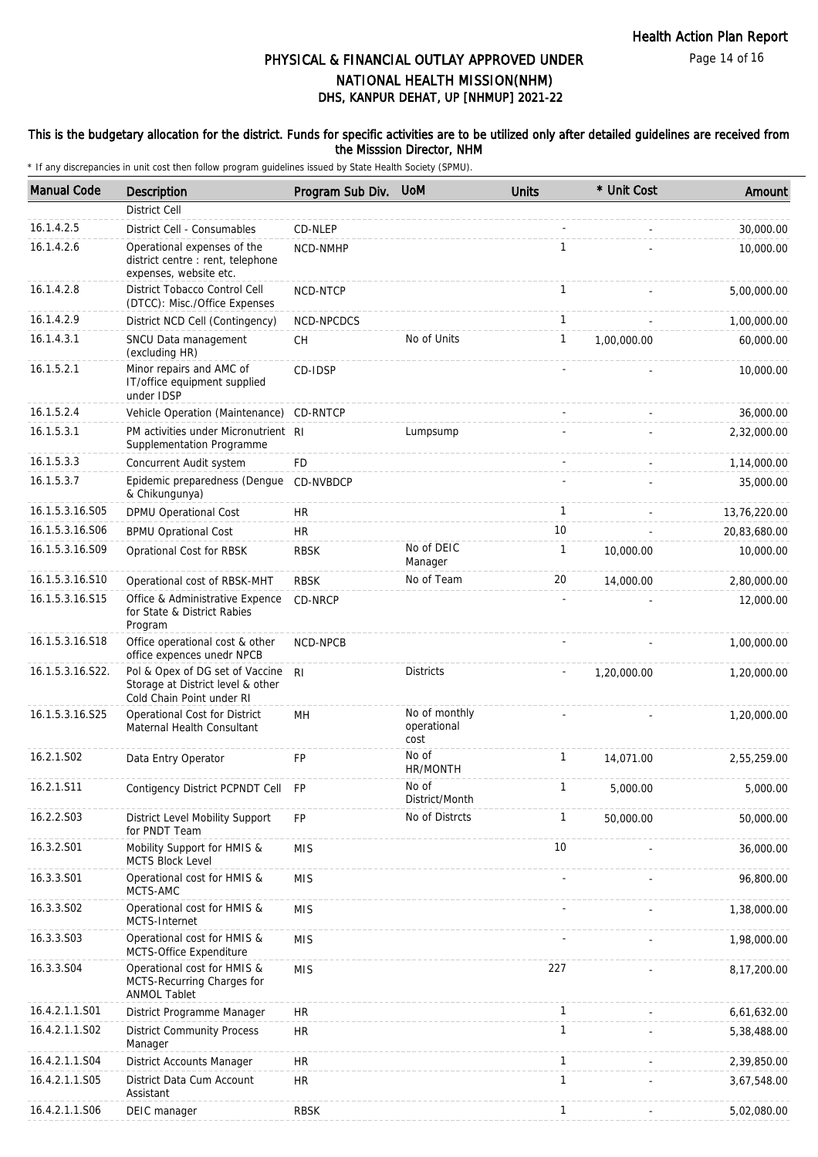Page 14 of 16

# DHS, KANPUR DEHAT, UP [NHMUP] 2021-22 PHYSICAL & FINANCIAL OUTLAY APPROVED UNDER NATIONAL HEALTH MISSION(NHM)

#### This is the budgetary allocation for the district. Funds for specific activities are to be utilized only after detailed guidelines are received from the Misssion Director, NHM

| <b>Manual Code</b> | <b>Description</b>                                                                                | Program Sub Div. UoM |                                      | <b>Units</b> | * Unit Cost | Amount       |
|--------------------|---------------------------------------------------------------------------------------------------|----------------------|--------------------------------------|--------------|-------------|--------------|
|                    | <b>District Cell</b>                                                                              |                      |                                      |              |             |              |
| 16.1.4.2.5         | District Cell - Consumables                                                                       | CD-NLEP              |                                      |              |             | 30,000.00    |
| 16.1.4.2.6         | Operational expenses of the<br>district centre : rent, telephone<br>expenses, website etc.        | NCD-NMHP             |                                      | $\mathbf{1}$ |             | 10,000.00    |
| 16.1.4.2.8         | District Tobacco Control Cell<br>(DTCC): Misc./Office Expenses                                    | NCD-NTCP             |                                      | $\mathbf{1}$ |             | 5,00,000.00  |
| 16.1.4.2.9         | District NCD Cell (Contingency)                                                                   | NCD-NPCDCS           |                                      | $\mathbf{1}$ |             | 1,00,000.00  |
| 16.1.4.3.1         | SNCU Data management<br>(excluding HR)                                                            | <b>CH</b>            | No of Units                          | $\mathbf{1}$ | 1.00.000.00 | 60,000.00    |
| 16.1.5.2.1         | Minor repairs and AMC of<br>IT/office equipment supplied<br>under IDSP                            | CD-IDSP              |                                      |              |             | 10,000.00    |
| 16.1.5.2.4         | Vehicle Operation (Maintenance)                                                                   | CD-RNTCP             |                                      |              |             | 36,000.00    |
| 16.1.5.3.1         | PM activities under Micronutrient RI<br>Supplementation Programme                                 |                      | Lumpsump                             |              |             | 2,32,000.00  |
| 16.1.5.3.3         | Concurrent Audit system                                                                           | <b>FD</b>            |                                      |              |             | 1,14,000.00  |
| 16.1.5.3.7         | Epidemic preparedness (Dengue<br>& Chikungunya)                                                   | CD-NVBDCP            |                                      |              |             | 35,000.00    |
| 16.1.5.3.16.S05    | <b>DPMU Operational Cost</b>                                                                      | <b>HR</b>            |                                      | $\mathbf{1}$ |             | 13,76,220.00 |
| 16.1.5.3.16.S06    | <b>BPMU Oprational Cost</b>                                                                       | <b>HR</b>            |                                      | 10           |             | 20,83,680.00 |
| 16.1.5.3.16.S09    | Oprational Cost for RBSK                                                                          | <b>RBSK</b>          | No of DEIC<br>Manager                | $\mathbf{1}$ | 10,000.00   | 10,000.00    |
| 16.1.5.3.16.S10    | Operational cost of RBSK-MHT                                                                      | <b>RBSK</b>          | No of Team                           | 20           | 14,000.00   | 2,80,000.00  |
| 16.1.5.3.16.S15    | Office & Administrative Expence<br>for State & District Rabies<br>Program                         | CD-NRCP              |                                      |              |             | 12,000.00    |
| 16.1.5.3.16.S18    | Office operational cost & other<br>office expences unedr NPCB                                     | NCD-NPCB             |                                      |              |             | 1,00,000.00  |
| 16.1.5.3.16.S22.   | Pol & Opex of DG set of Vaccine<br>Storage at District level & other<br>Cold Chain Point under RI | R <sub>l</sub>       | <b>Districts</b>                     |              | 1,20,000.00 | 1,20,000.00  |
| 16.1.5.3.16.S25    | Operational Cost for District<br>Maternal Health Consultant                                       | MН                   | No of monthly<br>operational<br>cost |              |             | 1,20,000.00  |
| 16.2.1.S02         | Data Entry Operator                                                                               | FP                   | No of<br>HR/MONTH                    | $\mathbf{1}$ | 14,071.00   | 2,55,259.00  |
| 16.2.1.S11         | Contigency District PCPNDT Cell                                                                   | <b>FP</b>            | No of<br>District/Month              | $\mathbf{1}$ | 5,000.00    | 5,000.00     |
| 16.2.2.S03         | District Level Mobility Support<br>for PNDT Team                                                  | <b>FP</b>            | No of Distrcts                       | $\mathbf{1}$ | 50,000.00   | 50,000.00    |
| 16.3.2.S01         | Mobility Support for HMIS &<br>MCTS Block Level                                                   | <b>MIS</b>           |                                      | 10           |             | 36,000.00    |
| 16.3.3.S01         | Operational cost for HMIS &<br>MCTS-AMC                                                           | <b>MIS</b>           |                                      |              |             | 96,800.00    |
| 16.3.3.S02         | Operational cost for HMIS &<br>MCTS-Internet                                                      | <b>MIS</b>           |                                      |              |             | 1,38,000.00  |
| 16.3.3.S03         | Operational cost for HMIS &<br>MCTS-Office Expenditure                                            | <b>MIS</b>           |                                      |              |             | 1,98,000.00  |
| 16.3.3.S04         | Operational cost for HMIS &<br>MCTS-Recurring Charges for<br><b>ANMOL Tablet</b>                  | <b>MIS</b>           |                                      | 227          |             | 8,17,200.00  |
| 16.4.2.1.1.S01     | District Programme Manager                                                                        | <b>HR</b>            |                                      | $\mathbf{1}$ |             | 6,61,632.00  |
| 16.4.2.1.1.S02     | <b>District Community Process</b><br>Manager                                                      | <b>HR</b>            |                                      | $\mathbf{1}$ |             | 5,38,488.00  |
| 16.4.2.1.1.S04     | District Accounts Manager                                                                         | <b>HR</b>            |                                      | $\mathbf{1}$ |             | 2,39,850.00  |
| 16.4.2.1.1.S05     | District Data Cum Account<br>Assistant                                                            | <b>HR</b>            |                                      | $\mathbf{1}$ |             | 3,67,548.00  |
| 16.4.2.1.1.S06     | DEIC manager                                                                                      | <b>RBSK</b>          |                                      | $\mathbf{1}$ |             | 5,02,080.00  |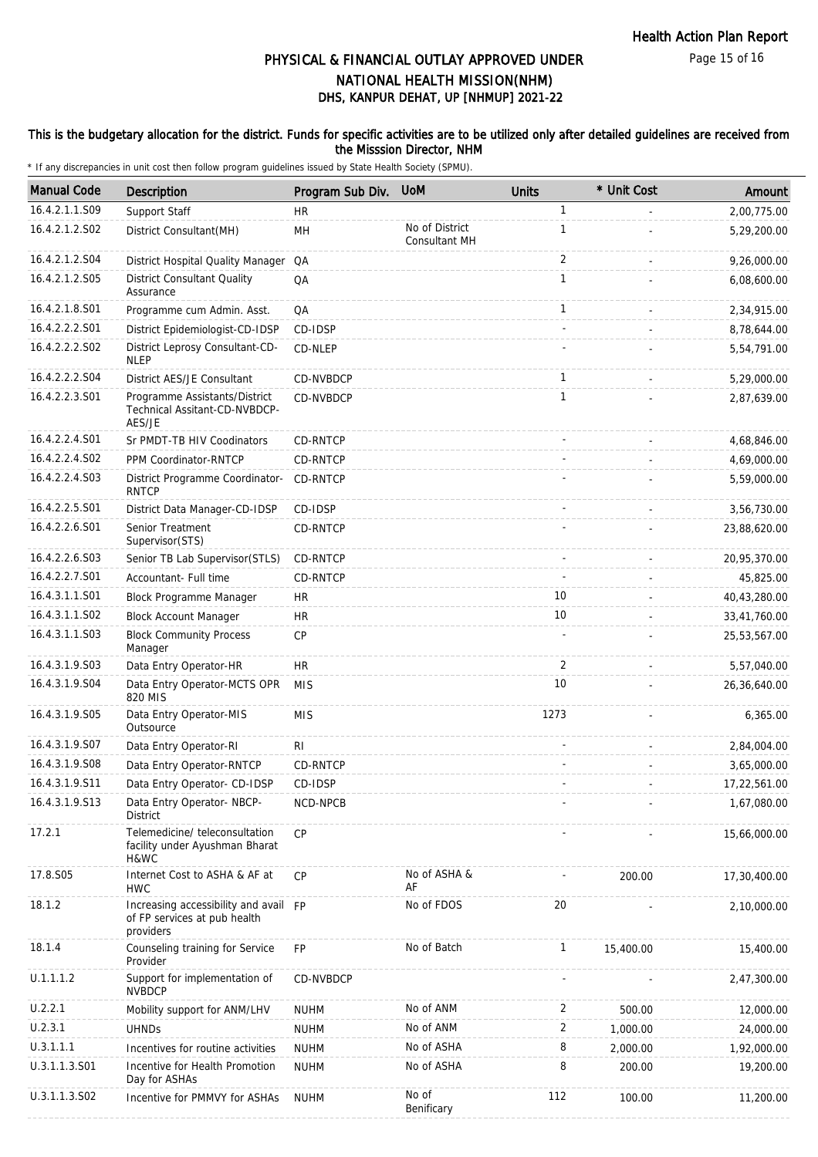Page 15 of 16

# DHS, KANPUR DEHAT, UP [NHMUP] 2021-22 PHYSICAL & FINANCIAL OUTLAY APPROVED UNDER NATIONAL HEALTH MISSION(NHM)

### This is the budgetary allocation for the district. Funds for specific activities are to be utilized only after detailed guidelines are received from the Misssion Director, NHM

| <b>Manual Code</b> | Description                                                                        | Program Sub Div. | <b>UoM</b>                      | <b>Units</b> | * Unit Cost | Amount       |
|--------------------|------------------------------------------------------------------------------------|------------------|---------------------------------|--------------|-------------|--------------|
| 16.4.2.1.1.S09     | Support Staff                                                                      | HR.              |                                 | $\mathbf{1}$ |             | 2,00,775.00  |
| 16.4.2.1.2.S02     | District Consultant(MH)                                                            | MH               | No of District<br>Consultant MH | $\mathbf{1}$ |             | 5,29,200.00  |
| 16.4.2.1.2.S04     | District Hospital Quality Manager QA                                               |                  |                                 | 2            |             | 9,26,000.00  |
| 16.4.2.1.2.S05     | <b>District Consultant Quality</b><br>Assurance                                    | QA               |                                 | $\mathbf{1}$ |             | 6,08,600.00  |
| 16.4.2.1.8.S01     | Programme cum Admin. Asst.                                                         | QA               |                                 | $\mathbf{1}$ |             | 2,34,915.00  |
| 16.4.2.2.2.S01     | District Epidemiologist-CD-IDSP                                                    | CD-IDSP          |                                 | $\sim$       |             | 8,78,644.00  |
| 16.4.2.2.2.S02     | District Leprosy Consultant-CD-<br><b>NLEP</b>                                     | CD-NLEP          |                                 |              |             | 5,54,791.00  |
| 16.4.2.2.2.S04     | District AES/JE Consultant                                                         | CD-NVBDCP        |                                 | $\mathbf{1}$ |             | 5,29,000.00  |
| 16.4.2.2.3.S01     | Programme Assistants/District<br>Technical Assitant-CD-NVBDCP-<br>AES/JE           | <b>CD-NVBDCP</b> |                                 | $\mathbf{1}$ |             | 2,87,639.00  |
| 16.4.2.2.4.S01     | Sr PMDT-TB HIV Coodinators                                                         | CD-RNTCP         |                                 |              |             | 4,68,846.00  |
| 16.4.2.2.4.S02     | PPM Coordinator-RNTCP                                                              | CD-RNTCP         |                                 |              |             | 4,69,000.00  |
| 16.4.2.2.4.S03     | District Programme Coordinator-<br><b>RNTCP</b>                                    | CD-RNTCP         |                                 |              |             | 5,59,000.00  |
| 16.4.2.2.5.S01     | District Data Manager-CD-IDSP                                                      | CD-IDSP          |                                 |              | ÷.          | 3,56,730.00  |
| 16.4.2.2.6.S01     | Senior Treatment<br>Supervisor(STS)                                                | CD-RNTCP         |                                 |              |             | 23,88,620.00 |
| 16.4.2.2.6.S03     | Senior TB Lab Supervisor(STLS)                                                     | CD-RNTCP         |                                 |              |             | 20,95,370.00 |
| 16.4.2.2.7.S01     | Accountant- Full time                                                              | CD-RNTCP         |                                 |              |             | 45,825.00    |
| 16.4.3.1.1.S01     | Block Programme Manager                                                            | <b>HR</b>        |                                 | 10           |             | 40,43,280.00 |
| 16.4.3.1.1.S02     | <b>Block Account Manager</b>                                                       | HR.              |                                 | 10           |             | 33,41,760.00 |
| 16.4.3.1.1.S03     | <b>Block Community Process</b><br>Manager                                          | CP               |                                 |              |             | 25,53,567.00 |
| 16.4.3.1.9.S03     | Data Entry Operator-HR                                                             | HR.              |                                 | 2            |             | 5,57,040.00  |
| 16.4.3.1.9.S04     | Data Entry Operator-MCTS OPR<br>820 MIS                                            | <b>MIS</b>       |                                 | 10           |             | 26,36,640.00 |
| 16.4.3.1.9.S05     | Data Entry Operator-MIS<br>Outsource                                               | <b>MIS</b>       |                                 | 1273         |             | 6,365.00     |
| 16.4.3.1.9.S07     | Data Entry Operator-RI                                                             | R <sub>l</sub>   |                                 |              |             | 2,84,004.00  |
| 16.4.3.1.9.S08     | Data Entry Operator-RNTCP                                                          | CD-RNTCP         |                                 |              |             | 3,65,000.00  |
| 16.4.3.1.9.S11     | Data Entry Operator- CD-IDSP                                                       | CD-IDSP          |                                 |              |             | 17,22,561.00 |
| 16.4.3.1.9.S13     | Data Entry Operator- NBCP-<br>District                                             | NCD-NPCB         |                                 |              |             | 1,67,080.00  |
| 17.2.1             | Telemedicine/ teleconsultation<br>facility under Ayushman Bharat<br>H&WC           | CP               |                                 |              |             | 15,66,000.00 |
| 17.8.S05           | Internet Cost to ASHA & AF at<br><b>HWC</b>                                        | <b>CP</b>        | No of ASHA &<br>AF              |              | 200.00      | 17,30,400.00 |
| 18.1.2             | Increasing accessibility and avail FP<br>of FP services at pub health<br>providers |                  | No of FDOS                      | 20           |             | 2,10,000.00  |
| 18.1.4             | Counseling training for Service<br>Provider                                        | FP               | No of Batch                     | $\mathbf{1}$ | 15,400.00   | 15,400.00    |
| U.1.1.1.2          | Support for implementation of<br><b>NVBDCP</b>                                     | CD-NVBDCP        |                                 |              |             | 2,47,300.00  |
| U.2.2.1            | Mobility support for ANM/LHV                                                       | <b>NUHM</b>      | No of ANM                       | 2            | 500.00      | 12,000.00    |
| U.2.3.1            | <b>UHNDs</b>                                                                       | <b>NUHM</b>      | No of ANM                       | 2            | 1,000.00    | 24,000.00    |
| U.3.1.1.1          | Incentives for routine activities                                                  | <b>NUHM</b>      | No of ASHA                      | 8            | 2,000.00    | 1,92,000.00  |
| U.3.1.1.3.S01      | Incentive for Health Promotion<br>Day for ASHAs                                    | <b>NUHM</b>      | No of ASHA                      | 8            | 200.00      | 19,200.00    |
| U.3.1.1.3.S02      | Incentive for PMMVY for ASHAs                                                      | <b>NUHM</b>      | No of<br>Benificary             | 112          | 100.00      | 11,200.00    |